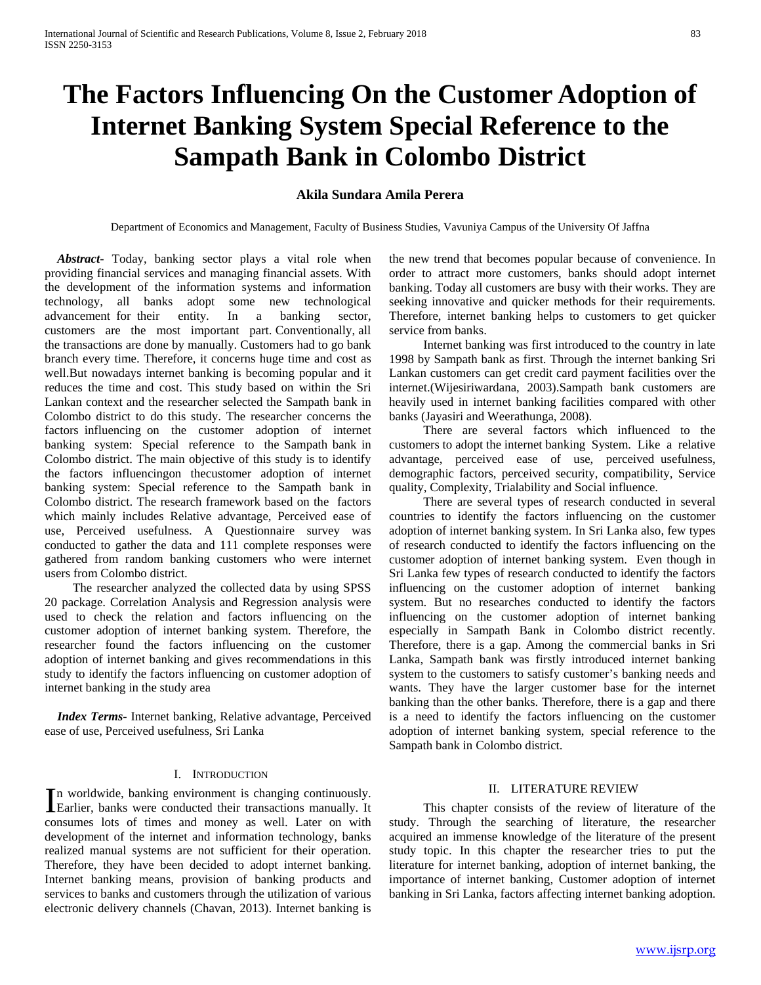# **The Factors Influencing On the Customer Adoption of Internet Banking System Special Reference to the Sampath Bank in Colombo District**

### **Akila Sundara Amila Perera**

Department of Economics and Management, Faculty of Business Studies, Vavuniya Campus of the University Of Jaffna

 *Abstract***-** Today, banking sector plays a vital role when providing financial services and managing financial assets. With the development of the information systems and information technology, all banks adopt some new technological advancement for their entity. In a banking sector, customers are the most important part. Conventionally, all the transactions are done by manually. Customers had to go bank branch every time. Therefore, it concerns huge time and cost as well.But nowadays internet banking is becoming popular and it reduces the time and cost. This study based on within the Sri Lankan context and the researcher selected the Sampath bank in Colombo district to do this study. The researcher concerns the factors influencing on the customer adoption of internet banking system: Special reference to the Sampath bank in Colombo district. The main objective of this study is to identify the factors influencingon thecustomer adoption of internet banking system: Special reference to the Sampath bank in Colombo district. The research framework based on the factors which mainly includes Relative advantage, Perceived ease of use, Perceived usefulness. A Questionnaire survey was conducted to gather the data and 111 complete responses were gathered from random banking customers who were internet users from Colombo district.

 The researcher analyzed the collected data by using SPSS 20 package. Correlation Analysis and Regression analysis were used to check the relation and factors influencing on the customer adoption of internet banking system. Therefore, the researcher found the factors influencing on the customer adoption of internet banking and gives recommendations in this study to identify the factors influencing on customer adoption of internet banking in the study area

 *Index Terms*- Internet banking, Relative advantage, Perceived ease of use, Perceived usefulness, Sri Lanka

### I. INTRODUCTION

n worldwide, banking environment is changing continuously. In worldwide, banking environment is changing continuously.<br>
Earlier, banks were conducted their transactions manually. It consumes lots of times and money as well. Later on with development of the internet and information technology, banks realized manual systems are not sufficient for their operation. Therefore, they have been decided to adopt internet banking. Internet banking means, provision of banking products and services to banks and customers through the utilization of various electronic delivery channels (Chavan, 2013). Internet banking is

the new trend that becomes popular because of convenience. In order to attract more customers, banks should adopt internet banking. Today all customers are busy with their works. They are seeking innovative and quicker methods for their requirements. Therefore, internet banking helps to customers to get quicker service from banks.

 Internet banking was first introduced to the country in late 1998 by Sampath bank as first. Through the internet banking Sri Lankan customers can get credit card payment facilities over the internet.(Wijesiriwardana, 2003).Sampath bank customers are heavily used in internet banking facilities compared with other banks (Jayasiri and Weerathunga, 2008).

 There are several factors which influenced to the customers to adopt the internet banking System. Like a relative advantage, perceived ease of use, perceived usefulness, demographic factors, perceived security, compatibility, Service quality, Complexity, Trialability and Social influence.

 There are several types of research conducted in several countries to identify the factors influencing on the customer adoption of internet banking system. In Sri Lanka also, few types of research conducted to identify the factors influencing on the customer adoption of internet banking system. Even though in Sri Lanka few types of research conducted to identify the factors influencing on the customer adoption of internet banking system. But no researches conducted to identify the factors influencing on the customer adoption of internet banking especially in Sampath Bank in Colombo district recently. Therefore, there is a gap. Among the commercial banks in Sri Lanka, Sampath bank was firstly introduced internet banking system to the customers to satisfy customer's banking needs and wants. They have the larger customer base for the internet banking than the other banks. Therefore, there is a gap and there is a need to identify the factors influencing on the customer adoption of internet banking system, special reference to the Sampath bank in Colombo district.

### II. LITERATURE REVIEW

 This chapter consists of the review of literature of the study. Through the searching of literature, the researcher acquired an immense knowledge of the literature of the present study topic. In this chapter the researcher tries to put the literature for internet banking, adoption of internet banking, the importance of internet banking, Customer adoption of internet banking in Sri Lanka, factors affecting internet banking adoption.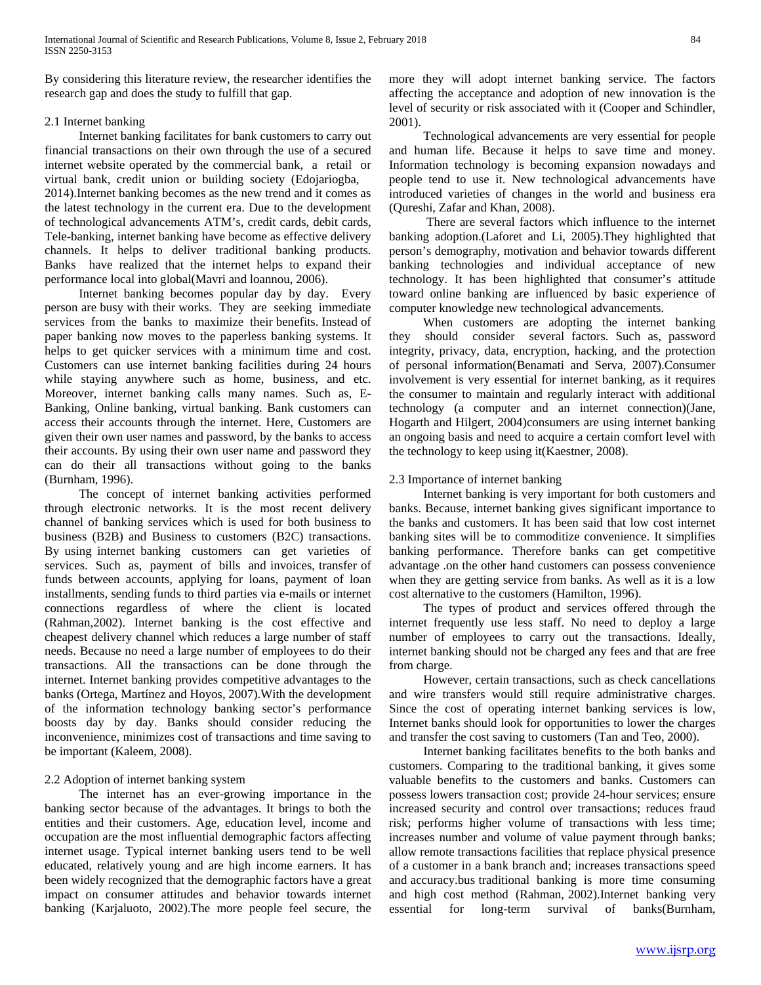By considering this literature review, the researcher identifies the research gap and does the study to fulfill that gap.

### 2.1 Internet banking

 Internet banking facilitates for bank customers to carry out financial transactions on their own through the use of a secured internet website operated by the commercial bank, a retail or virtual bank, credit union or building society (Edojariogba, 2014).Internet banking becomes as the new trend and it comes as the latest technology in the current era. Due to the development of technological advancements ATM's, credit cards, debit cards, Tele-banking, internet banking have become as effective delivery channels. It helps to deliver traditional banking products. Banks have realized that the internet helps to expand their performance local into global(Mavri and loannou, 2006).

 Internet banking becomes popular day by day. Every person are busy with their works. They are seeking immediate services from the banks to maximize their benefits. Instead of paper banking now moves to the paperless banking systems. It helps to get quicker services with a minimum time and cost. Customers can use internet banking facilities during 24 hours while staying anywhere such as home, business, and etc. Moreover, internet banking calls many names. Such as, E-Banking, Online banking, virtual banking. Bank customers can access their accounts through the internet. Here, Customers are given their own user names and password, by the banks to access their accounts. By using their own user name and password they can do their all transactions without going to the banks (Burnham, 1996).

 The concept of internet banking activities performed through electronic networks. It is the most recent delivery channel of banking services which is used for both business to business (B2B) and Business to customers (B2C) transactions. By using internet banking customers can get varieties of services. Such as, payment of bills and invoices, transfer of funds between accounts, applying for loans, payment of loan installments, sending funds to third parties via e-mails or internet connections regardless of where the client is located (Rahman,2002). Internet banking is the cost effective and cheapest delivery channel which reduces a large number of staff needs. Because no need a large number of employees to do their transactions. All the transactions can be done through the internet. Internet banking provides competitive advantages to the banks (Ortega, Martínez and Hoyos, 2007).With the development of the information technology banking sector's performance boosts day by day. Banks should consider reducing the inconvenience, minimizes cost of transactions and time saving to be important (Kaleem, 2008).

### 2.2 Adoption of internet banking system

 The internet has an ever-growing importance in the banking sector because of the advantages. It brings to both the entities and their customers. Age, education level, income and occupation are the most influential demographic factors affecting internet usage. Typical internet banking users tend to be well educated, relatively young and are high income earners. It has been widely recognized that the demographic factors have a great impact on consumer attitudes and behavior towards internet banking (Karjaluoto, 2002).The more people feel secure, the more they will adopt internet banking service. The factors affecting the acceptance and adoption of new innovation is the level of security or risk associated with it (Cooper and Schindler, 2001).

 Technological advancements are very essential for people and human life. Because it helps to save time and money. Information technology is becoming expansion nowadays and people tend to use it. New technological advancements have introduced varieties of changes in the world and business era (Qureshi, Zafar and Khan, 2008).

 There are several factors which influence to the internet banking adoption.(Laforet and Li, 2005).They highlighted that person's demography, motivation and behavior towards different banking technologies and individual acceptance of new technology. It has been highlighted that consumer's attitude toward online banking are influenced by basic experience of computer knowledge new technological advancements.

 When customers are adopting the internet banking they should consider several factors. Such as, password integrity, privacy, data, encryption, hacking, and the protection of personal information(Benamati and Serva, 2007).Consumer involvement is very essential for internet banking, as it requires the consumer to maintain and regularly interact with additional technology (a computer and an internet connection)(Jane, Hogarth and Hilgert, 2004)consumers are using internet banking an ongoing basis and need to acquire a certain comfort level with the technology to keep using it(Kaestner, 2008).

### 2.3 Importance of internet banking

 Internet banking is very important for both customers and banks. Because, internet banking gives significant importance to the banks and customers. It has been said that low cost internet banking sites will be to commoditize convenience. It simplifies banking performance. Therefore banks can get competitive advantage .on the other hand customers can possess convenience when they are getting service from banks. As well as it is a low cost alternative to the customers (Hamilton, 1996).

 The types of product and services offered through the internet frequently use less staff. No need to deploy a large number of employees to carry out the transactions. Ideally, internet banking should not be charged any fees and that are free from charge.

 However, certain transactions, such as check cancellations and wire transfers would still require administrative charges. Since the cost of operating internet banking services is low, Internet banks should look for opportunities to lower the charges and transfer the cost saving to customers (Tan and Teo, 2000).

 Internet banking facilitates benefits to the both banks and customers. Comparing to the traditional banking, it gives some valuable benefits to the customers and banks. Customers can possess lowers transaction cost; provide 24-hour services; ensure increased security and control over transactions; reduces fraud risk; performs higher volume of transactions with less time; increases number and volume of value payment through banks; allow remote transactions facilities that replace physical presence of a customer in a bank branch and; increases transactions speed and accuracy.bus traditional banking is more time consuming and high cost method (Rahman, 2002).Internet banking very essential for long-term survival of banks(Burnham,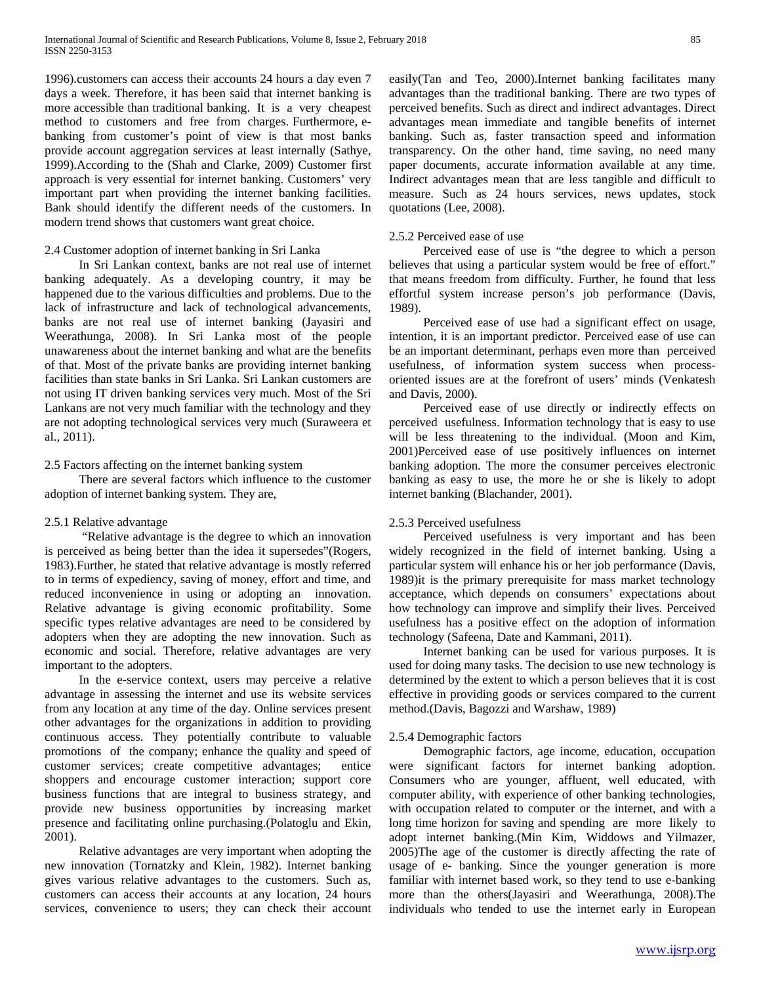1996).customers can access their accounts 24 hours a day even 7 days a week. Therefore, it has been said that internet banking is more accessible than traditional banking. It is a very cheapest method to customers and free from charges. Furthermore, ebanking from customer's point of view is that most banks provide account aggregation services at least internally (Sathye, 1999).According to the (Shah and Clarke, 2009) Customer first approach is very essential for internet banking. Customers' very important part when providing the internet banking facilities. Bank should identify the different needs of the customers. In modern trend shows that customers want great choice.

### 2.4 Customer adoption of internet banking in Sri Lanka

 In Sri Lankan context, banks are not real use of internet banking adequately. As a developing country, it may be happened due to the various difficulties and problems. Due to the lack of infrastructure and lack of technological advancements, banks are not real use of internet banking (Jayasiri and Weerathunga, 2008). In Sri Lanka most of the people unawareness about the internet banking and what are the benefits of that. Most of the private banks are providing internet banking facilities than state banks in Sri Lanka. Sri Lankan customers are not using IT driven banking services very much. Most of the Sri Lankans are not very much familiar with the technology and they are not adopting technological services very much (Suraweera et al., 2011).

### 2.5 Factors affecting on the internet banking system

 There are several factors which influence to the customer adoption of internet banking system. They are,

### 2.5.1 Relative advantage

 "Relative advantage is the degree to which an innovation is perceived as being better than the idea it supersedes"(Rogers, 1983).Further, he stated that relative advantage is mostly referred to in terms of expediency, saving of money, effort and time, and reduced inconvenience in using or adopting an innovation. Relative advantage is giving economic profitability. Some specific types relative advantages are need to be considered by adopters when they are adopting the new innovation. Such as economic and social. Therefore, relative advantages are very important to the adopters.

 In the e-service context, users may perceive a relative advantage in assessing the internet and use its website services from any location at any time of the day. Online services present other advantages for the organizations in addition to providing continuous access. They potentially contribute to valuable promotions of the company; enhance the quality and speed of customer services; create competitive advantages; entice shoppers and encourage customer interaction; support core business functions that are integral to business strategy, and provide new business opportunities by increasing market presence and facilitating online purchasing.(Polatoglu and Ekin, 2001).

 Relative advantages are very important when adopting the new innovation (Tornatzky and Klein, 1982). Internet banking gives various relative advantages to the customers. Such as, customers can access their accounts at any location, 24 hours services, convenience to users; they can check their account easily(Tan and Teo, 2000).Internet banking facilitates many advantages than the traditional banking. There are two types of perceived benefits. Such as direct and indirect advantages. Direct advantages mean immediate and tangible benefits of internet banking. Such as, faster transaction speed and information transparency. On the other hand, time saving, no need many paper documents, accurate information available at any time. Indirect advantages mean that are less tangible and difficult to measure. Such as 24 hours services, news updates, stock quotations (Lee, 2008).

### 2.5.2 Perceived ease of use

 Perceived ease of use is "the degree to which a person believes that using a particular system would be free of effort." that means freedom from difficulty. Further, he found that less effortful system increase person's job performance (Davis, 1989).

 Perceived ease of use had a significant effect on usage, intention, it is an important predictor. Perceived ease of use can be an important determinant, perhaps even more than perceived usefulness, of information system success when processoriented issues are at the forefront of users' minds (Venkatesh and Davis, 2000).

 Perceived ease of use directly or indirectly effects on perceived usefulness. Information technology that is easy to use will be less threatening to the individual. (Moon and Kim, 2001)Perceived ease of use positively influences on internet banking adoption. The more the consumer perceives electronic banking as easy to use, the more he or she is likely to adopt internet banking (Blachander, 2001).

### 2.5.3 Perceived usefulness

 Perceived usefulness is very important and has been widely recognized in the field of internet banking. Using a particular system will enhance his or her job performance (Davis, 1989)it is the primary prerequisite for mass market technology acceptance, which depends on consumers' expectations about how technology can improve and simplify their lives. Perceived usefulness has a positive effect on the adoption of information technology (Safeena, Date and Kammani, 2011).

 Internet banking can be used for various purposes. It is used for doing many tasks. The decision to use new technology is determined by the extent to which a person believes that it is cost effective in providing goods or services compared to the current method.(Davis, Bagozzi and Warshaw, 1989)

### 2.5.4 Demographic factors

 Demographic factors, age income, education, occupation were significant factors for internet banking adoption. Consumers who are younger, affluent, well educated, with computer ability, with experience of other banking technologies, with occupation related to computer or the internet, and with a long time horizon for saving and spending are more likely to adopt internet banking.(Min Kim, Widdows and Yilmazer, 2005)The age of the customer is directly affecting the rate of usage of e- banking. Since the younger generation is more familiar with internet based work, so they tend to use e-banking more than the others(Jayasiri and Weerathunga, 2008).The individuals who tended to use the internet early in European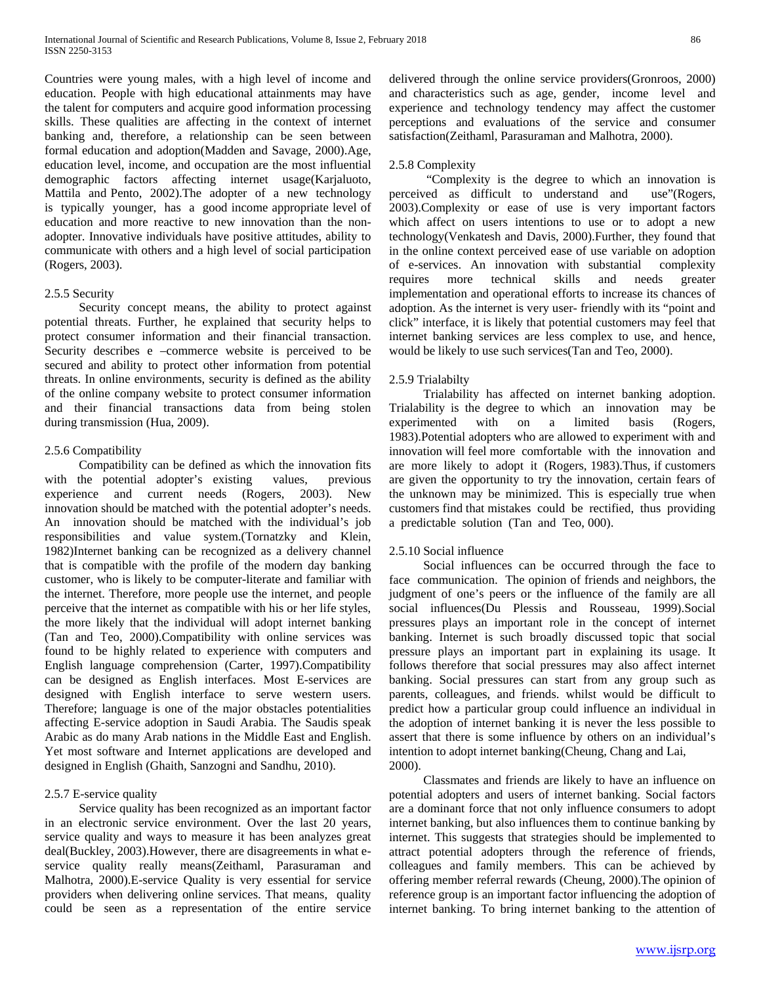Countries were young males, with a high level of income and education. People with high educational attainments may have the talent for computers and acquire good information processing skills. These qualities are affecting in the context of internet banking and, therefore, a relationship can be seen between formal education and adoption(Madden and Savage, 2000).Age, education level, income, and occupation are the most influential demographic factors affecting internet usage(Karjaluoto, Mattila and Pento, 2002).The adopter of a new technology is typically younger, has a good income appropriate level of education and more reactive to new innovation than the nonadopter. Innovative individuals have positive attitudes, ability to communicate with others and a high level of social participation (Rogers, 2003).

### 2.5.5 Security

 Security concept means, the ability to protect against potential threats. Further, he explained that security helps to protect consumer information and their financial transaction. Security describes e –commerce website is perceived to be secured and ability to protect other information from potential threats. In online environments, security is defined as the ability of the online company website to protect consumer information and their financial transactions data from being stolen during transmission (Hua, 2009).

### 2.5.6 Compatibility

 Compatibility can be defined as which the innovation fits with the potential adopter's existing values, previous experience and current needs (Rogers, 2003). New innovation should be matched with the potential adopter's needs. An innovation should be matched with the individual's job responsibilities and value system.(Tornatzky and Klein, 1982)Internet banking can be recognized as a delivery channel that is compatible with the profile of the modern day banking customer, who is likely to be computer-literate and familiar with the internet. Therefore, more people use the internet, and people perceive that the internet as compatible with his or her life styles, the more likely that the individual will adopt internet banking (Tan and Teo, 2000).Compatibility with online services was found to be highly related to experience with computers and English language comprehension (Carter, 1997).Compatibility can be designed as English interfaces. Most E-services are designed with English interface to serve western users. Therefore; language is one of the major obstacles potentialities affecting E-service adoption in Saudi Arabia. The Saudis speak Arabic as do many Arab nations in the Middle East and English. Yet most software and Internet applications are developed and designed in English (Ghaith, Sanzogni and Sandhu, 2010).

### 2.5.7 E-service quality

 Service quality has been recognized as an important factor in an electronic service environment. Over the last 20 years, service quality and ways to measure it has been analyzes great deal(Buckley, 2003).However, there are disagreements in what eservice quality really means(Zeithaml, Parasuraman and Malhotra, 2000).E-service Quality is very essential for service providers when delivering online services. That means, quality could be seen as a representation of the entire service delivered through the online service providers(Gronroos, 2000) and characteristics such as age, gender, income level and experience and technology tendency may affect the customer perceptions and evaluations of the service and consumer satisfaction(Zeithaml, Parasuraman and Malhotra, 2000).

### 2.5.8 Complexity

 "Complexity is the degree to which an innovation is perceived as difficult to understand and use"(Rogers, 2003).Complexity or ease of use is very important factors which affect on users intentions to use or to adopt a new technology(Venkatesh and Davis, 2000).Further, they found that in the online context perceived ease of use variable on adoption of e-services. An innovation with substantial complexity requires more technical skills and needs greater implementation and operational efforts to increase its chances of adoption. As the internet is very user- friendly with its "point and click" interface, it is likely that potential customers may feel that internet banking services are less complex to use, and hence, would be likely to use such services(Tan and Teo, 2000).

### 2.5.9 Trialabilty

 Trialability has affected on internet banking adoption. Trialability is the degree to which an innovation may be experimented with on a limited basis (Rogers, 1983).Potential adopters who are allowed to experiment with and innovation will feel more comfortable with the innovation and are more likely to adopt it (Rogers, 1983).Thus, if customers are given the opportunity to try the innovation, certain fears of the unknown may be minimized. This is especially true when customers find that mistakes could be rectified, thus providing a predictable solution (Tan and Teo, 000).

### 2.5.10 Social influence

 Social influences can be occurred through the face to face communication. The opinion of friends and neighbors, the judgment of one's peers or the influence of the family are all social influences(Du Plessis and Rousseau, 1999).Social pressures plays an important role in the concept of internet banking. Internet is such broadly discussed topic that social pressure plays an important part in explaining its usage. It follows therefore that social pressures may also affect internet banking. Social pressures can start from any group such as parents, colleagues, and friends. whilst would be difficult to predict how a particular group could influence an individual in the adoption of internet banking it is never the less possible to assert that there is some influence by others on an individual's intention to adopt internet banking(Cheung, Chang and Lai, 2000).

 Classmates and friends are likely to have an influence on potential adopters and users of internet banking. Social factors are a dominant force that not only influence consumers to adopt internet banking, but also influences them to continue banking by internet. This suggests that strategies should be implemented to attract potential adopters through the reference of friends, colleagues and family members. This can be achieved by offering member referral rewards (Cheung, 2000).The opinion of reference group is an important factor influencing the adoption of internet banking. To bring internet banking to the attention of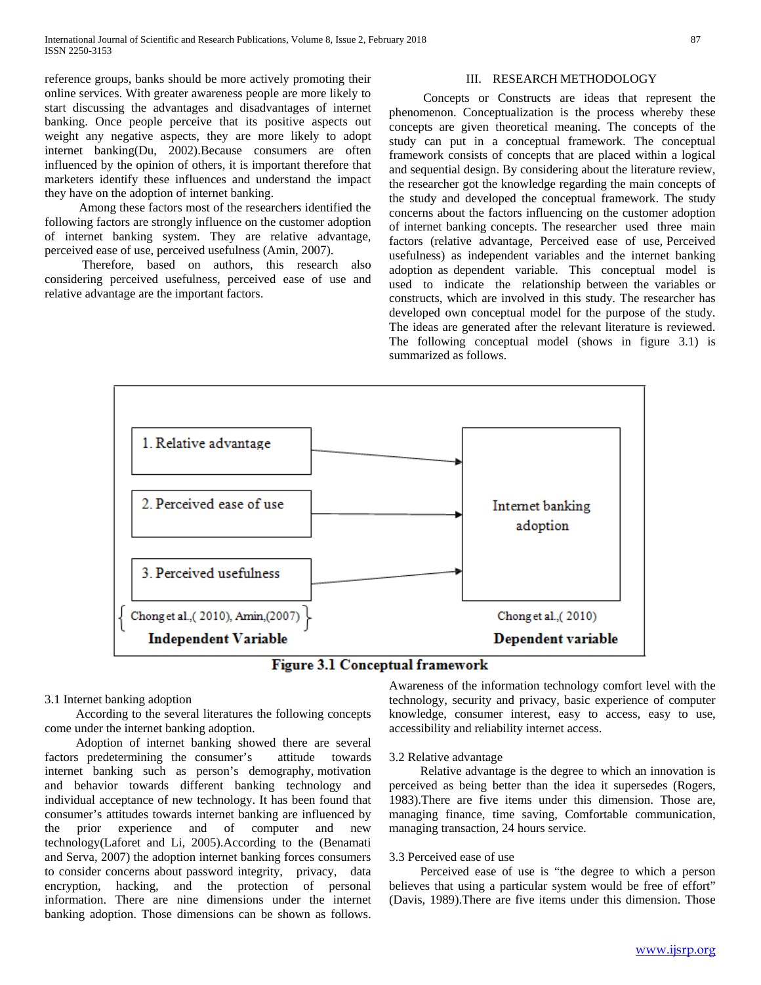reference groups, banks should be more actively promoting their online services. With greater awareness people are more likely to start discussing the advantages and disadvantages of internet banking. Once people perceive that its positive aspects out weight any negative aspects, they are more likely to adopt internet banking(Du, 2002).Because consumers are often influenced by the opinion of others, it is important therefore that marketers identify these influences and understand the impact they have on the adoption of internet banking.

 Among these factors most of the researchers identified the following factors are strongly influence on the customer adoption of internet banking system. They are relative advantage, perceived ease of use, perceived usefulness (Amin, 2007).

 Therefore, based on authors, this research also considering perceived usefulness, perceived ease of use and relative advantage are the important factors.

### III. RESEARCH METHODOLOGY

 Concepts or Constructs are ideas that represent the phenomenon. Conceptualization is the process whereby these concepts are given theoretical meaning. The concepts of the study can put in a conceptual framework. The conceptual framework consists of concepts that are placed within a logical and sequential design. By considering about the literature review, the researcher got the knowledge regarding the main concepts of the study and developed the conceptual framework. The study concerns about the factors influencing on the customer adoption of internet banking concepts. The researcher used three main factors (relative advantage, Perceived ease of use, Perceived usefulness) as independent variables and the internet banking adoption as dependent variable. This conceptual model is used to indicate the relationship between the variables or constructs, which are involved in this study. The researcher has developed own conceptual model for the purpose of the study. The ideas are generated after the relevant literature is reviewed. The following conceptual model (shows in figure 3.1) is summarized as follows.



**Figure 3.1 Conceptual framework** 

### 3.1 Internet banking adoption

 According to the several literatures the following concepts come under the internet banking adoption.

 Adoption of internet banking showed there are several factors predetermining the consumer's attitude towards internet banking such as person's demography, motivation and behavior towards different banking technology and individual acceptance of new technology. It has been found that consumer's attitudes towards internet banking are influenced by the prior experience and of computer and new technology(Laforet and Li, 2005).According to the (Benamati and Serva, 2007) the adoption internet banking forces consumers to consider concerns about password integrity, privacy, data encryption, hacking, and the protection of personal information. There are nine dimensions under the internet banking adoption. Those dimensions can be shown as follows.

Awareness of the information technology comfort level with the technology, security and privacy, basic experience of computer knowledge, consumer interest, easy to access, easy to use, accessibility and reliability internet access.

### 3.2 Relative advantage

 Relative advantage is the degree to which an innovation is perceived as being better than the idea it supersedes (Rogers, 1983).There are five items under this dimension. Those are, managing finance, time saving, Comfortable communication, managing transaction, 24 hours service.

### 3.3 Perceived ease of use

 Perceived ease of use is "the degree to which a person believes that using a particular system would be free of effort" (Davis, 1989).There are five items under this dimension. Those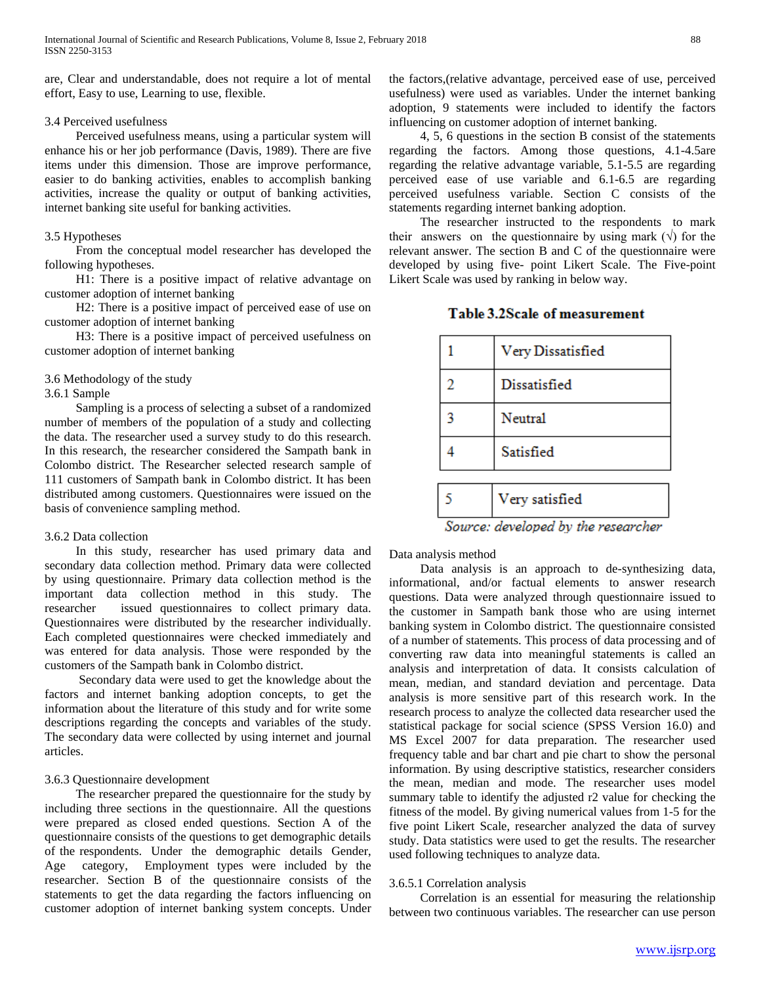are, Clear and understandable, does not require a lot of mental effort, Easy to use, Learning to use, flexible.

### 3.4 Perceived usefulness

 Perceived usefulness means, using a particular system will enhance his or her job performance (Davis, 1989). There are five items under this dimension. Those are improve performance, easier to do banking activities, enables to accomplish banking activities, increase the quality or output of banking activities, internet banking site useful for banking activities.

### 3.5 Hypotheses

 From the conceptual model researcher has developed the following hypotheses.

 H1: There is a positive impact of relative advantage on customer adoption of internet banking

 H2: There is a positive impact of perceived ease of use on customer adoption of internet banking

 H3: There is a positive impact of perceived usefulness on customer adoption of internet banking

### 3.6 Methodology of the study

3.6.1 Sample

 Sampling is a process of selecting a subset of a randomized number of members of the population of a study and collecting the data. The researcher used a survey study to do this research. In this research, the researcher considered the Sampath bank in Colombo district. The Researcher selected research sample of 111 customers of Sampath bank in Colombo district. It has been distributed among customers. Questionnaires were issued on the basis of convenience sampling method.

### 3.6.2 Data collection

 In this study, researcher has used primary data and secondary data collection method. Primary data were collected by using questionnaire. Primary data collection method is the important data collection method in this study. The researcher issued questionnaires to collect primary data. Questionnaires were distributed by the researcher individually. Each completed questionnaires were checked immediately and was entered for data analysis. Those were responded by the customers of the Sampath bank in Colombo district.

 Secondary data were used to get the knowledge about the factors and internet banking adoption concepts, to get the information about the literature of this study and for write some descriptions regarding the concepts and variables of the study. The secondary data were collected by using internet and journal articles.

### 3.6.3 Questionnaire development

 The researcher prepared the questionnaire for the study by including three sections in the questionnaire. All the questions were prepared as closed ended questions. Section A of the questionnaire consists of the questions to get demographic details of the respondents. Under the demographic details Gender, Age category, Employment types were included by the researcher. Section B of the questionnaire consists of the statements to get the data regarding the factors influencing on customer adoption of internet banking system concepts. Under the factors,(relative advantage, perceived ease of use, perceived usefulness) were used as variables. Under the internet banking adoption, 9 statements were included to identify the factors influencing on customer adoption of internet banking.

 4, 5, 6 questions in the section B consist of the statements regarding the factors. Among those questions, 4.1-4.5are regarding the relative advantage variable, 5.1-5.5 are regarding perceived ease of use variable and 6.1-6.5 are regarding perceived usefulness variable. Section C consists of the statements regarding internet banking adoption.

 The researcher instructed to the respondents to mark their answers on the questionnaire by using mark  $(\vee)$  for the relevant answer. The section B and C of the questionnaire were developed by using five- point Likert Scale. The Five-point Likert Scale was used by ranking in below way.

|                                     | Very Dissatisfied |  |  |  |
|-------------------------------------|-------------------|--|--|--|
| 2                                   | Dissatisfied      |  |  |  |
| 3                                   | Neutral           |  |  |  |
|                                     | Satisfied         |  |  |  |
|                                     |                   |  |  |  |
|                                     | Very satisfied    |  |  |  |
| Source: developed by the researcher |                   |  |  |  |

Table 3.2Scale of measurement

Data analysis method

 Data analysis is an approach to de-synthesizing data, informational, and/or factual elements to answer research questions. Data were analyzed through questionnaire issued to the customer in Sampath bank those who are using internet banking system in Colombo district. The questionnaire consisted of a number of statements. This process of data processing and of converting raw data into meaningful statements is called an analysis and interpretation of data. It consists calculation of mean, median, and standard deviation and percentage. Data analysis is more sensitive part of this research work. In the research process to analyze the collected data researcher used the statistical package for social science (SPSS Version 16.0) and MS Excel 2007 for data preparation. The researcher used frequency table and bar chart and pie chart to show the personal information. By using descriptive statistics, researcher considers the mean, median and mode. The researcher uses model summary table to identify the adjusted r2 value for checking the fitness of the model. By giving numerical values from 1-5 for the five point Likert Scale, researcher analyzed the data of survey study. Data statistics were used to get the results. The researcher used following techniques to analyze data.

### 3.6.5.1 Correlation analysis

 Correlation is an essential for measuring the relationship between two continuous variables. The researcher can use person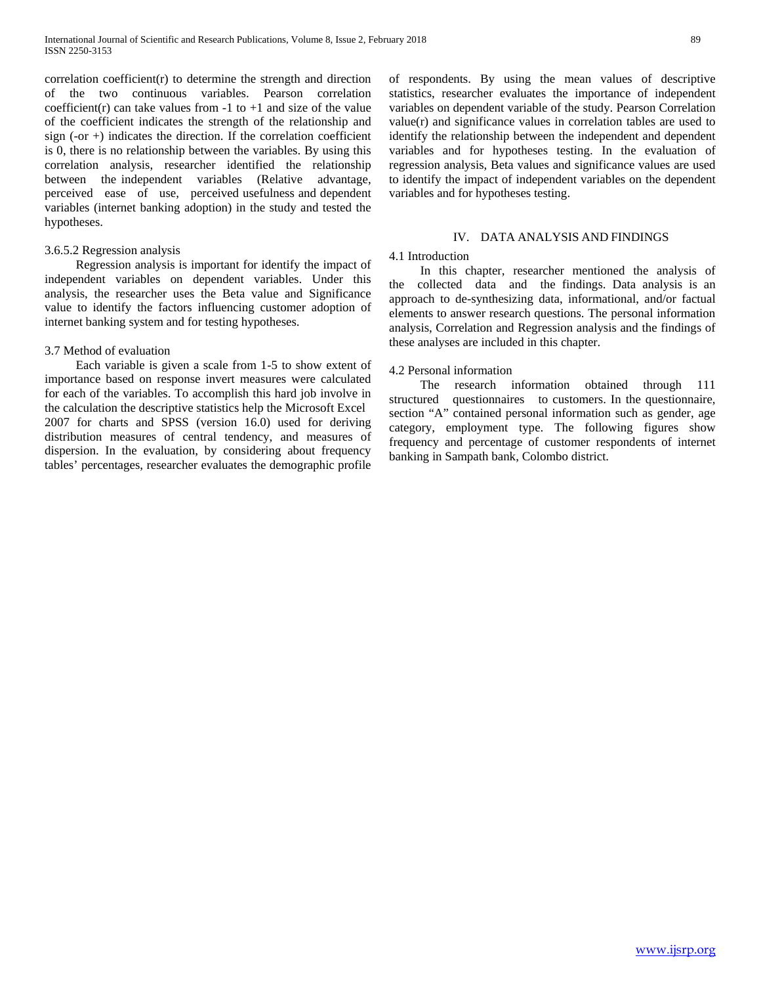correlation coefficient $(r)$  to determine the strength and direction of the two continuous variables. Pearson correlation coefficient(r) can take values from  $-1$  to  $+1$  and size of the value of the coefficient indicates the strength of the relationship and sign  $(-\text{or } +)$  indicates the direction. If the correlation coefficient is 0, there is no relationship between the variables. By using this correlation analysis, researcher identified the relationship between the independent variables (Relative advantage, perceived ease of use, perceived usefulness and dependent variables (internet banking adoption) in the study and tested the hypotheses.

### 3.6.5.2 Regression analysis

 Regression analysis is important for identify the impact of independent variables on dependent variables. Under this analysis, the researcher uses the Beta value and Significance value to identify the factors influencing customer adoption of internet banking system and for testing hypotheses.

### 3.7 Method of evaluation

 Each variable is given a scale from 1-5 to show extent of importance based on response invert measures were calculated for each of the variables. To accomplish this hard job involve in the calculation the descriptive statistics help the Microsoft Excel 2007 for charts and SPSS (version 16.0) used for deriving distribution measures of central tendency, and measures of dispersion. In the evaluation, by considering about frequency tables' percentages, researcher evaluates the demographic profile of respondents. By using the mean values of descriptive statistics, researcher evaluates the importance of independent variables on dependent variable of the study. Pearson Correlation value(r) and significance values in correlation tables are used to identify the relationship between the independent and dependent variables and for hypotheses testing. In the evaluation of regression analysis, Beta values and significance values are used to identify the impact of independent variables on the dependent variables and for hypotheses testing.

### IV. DATA ANALYSIS AND FINDINGS

### 4.1 Introduction

 In this chapter, researcher mentioned the analysis of the collected data and the findings. Data analysis is an approach to de-synthesizing data, informational, and/or factual elements to answer research questions. The personal information analysis, Correlation and Regression analysis and the findings of these analyses are included in this chapter.

### 4.2 Personal information

 The research information obtained through 111 structured questionnaires to customers. In the questionnaire, section "A" contained personal information such as gender, age category, employment type. The following figures show frequency and percentage of customer respondents of internet banking in Sampath bank, Colombo district.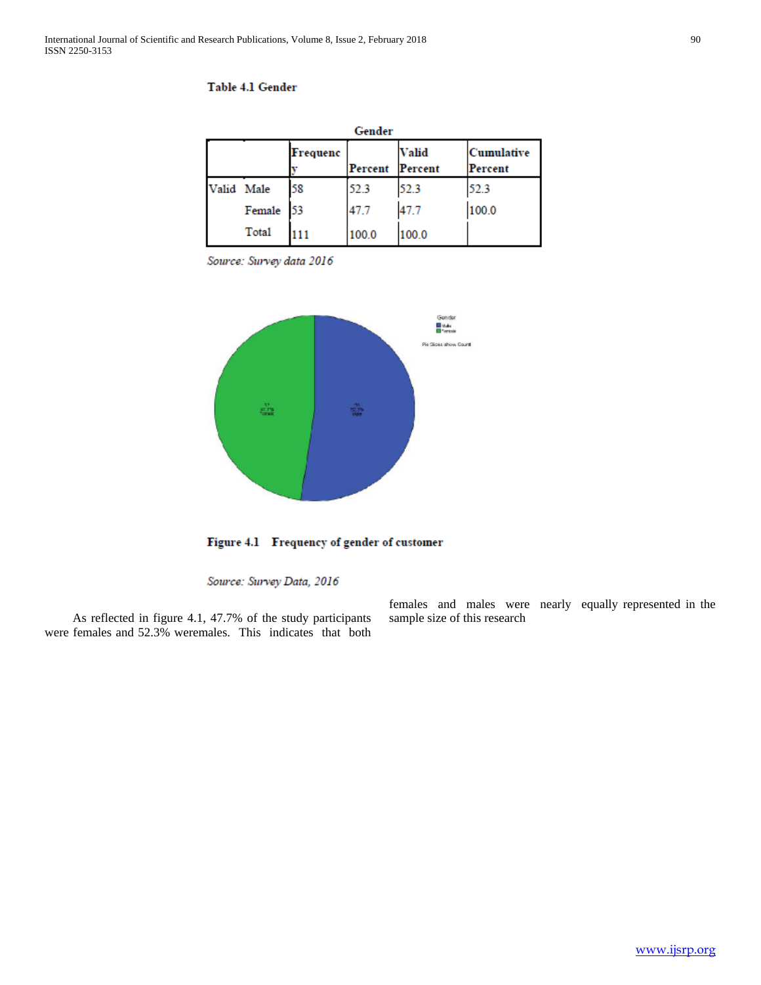| Gender     |        |          |         |                         |                       |  |
|------------|--------|----------|---------|-------------------------|-----------------------|--|
|            |        | Frequenc | Percent | <b>Valid</b><br>Percent | Cumulative<br>Percent |  |
| Valid Male |        | 58       | 52.3    | 52.3                    | 52.3                  |  |
|            | Female | 53       | 47.7    | 47.7                    | 100.0                 |  |
|            | Total  |          | 100.0   | 100.0                   |                       |  |

### Table 4.1 Gender

Source: Survey data 2016



Figure 4.1 Frequency of gender of customer

Source: Survey Data, 2016

 As reflected in figure 4.1, 47.7% of the study participants were females and 52.3% weremales. This indicates that both females and males were nearly equally represented in the sample size of this research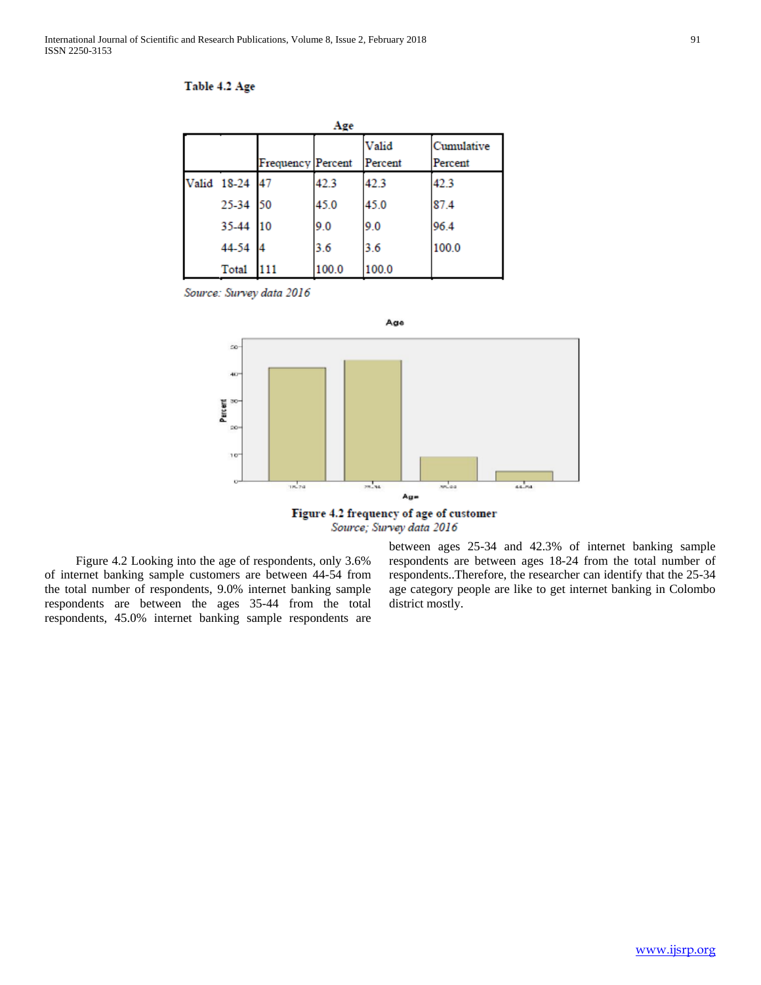### Table 4.2 Age

| Age |                |                          |       |                  |                       |
|-----|----------------|--------------------------|-------|------------------|-----------------------|
|     |                | <b>Frequency Percent</b> |       | Valid<br>Percent | Cumulative<br>Percent |
|     | Valid 18-24 47 |                          | 42.3  | 42.3             | 42.3                  |
|     | 25-34 50       |                          | 45.0  | 45.0             | 87.4                  |
|     | 35-44 10       |                          | 9.0   | 9.0              | 96.4                  |
|     | 44-54          | 4                        | 3.6   | 3.6              | 100.0                 |
|     | Total          | 111                      | 100.0 | 100.0            |                       |

Source: Survey data 2016





 Figure 4.2 Looking into the age of respondents, only 3.6% of internet banking sample customers are between 44-54 from the total number of respondents, 9.0% internet banking sample respondents are between the ages 35-44 from the total respondents, 45.0% internet banking sample respondents are between ages 25-34 and 42.3% of internet banking sample respondents are between ages 18-24 from the total number of respondents..Therefore, the researcher can identify that the 25-34 age category people are like to get internet banking in Colombo district mostly.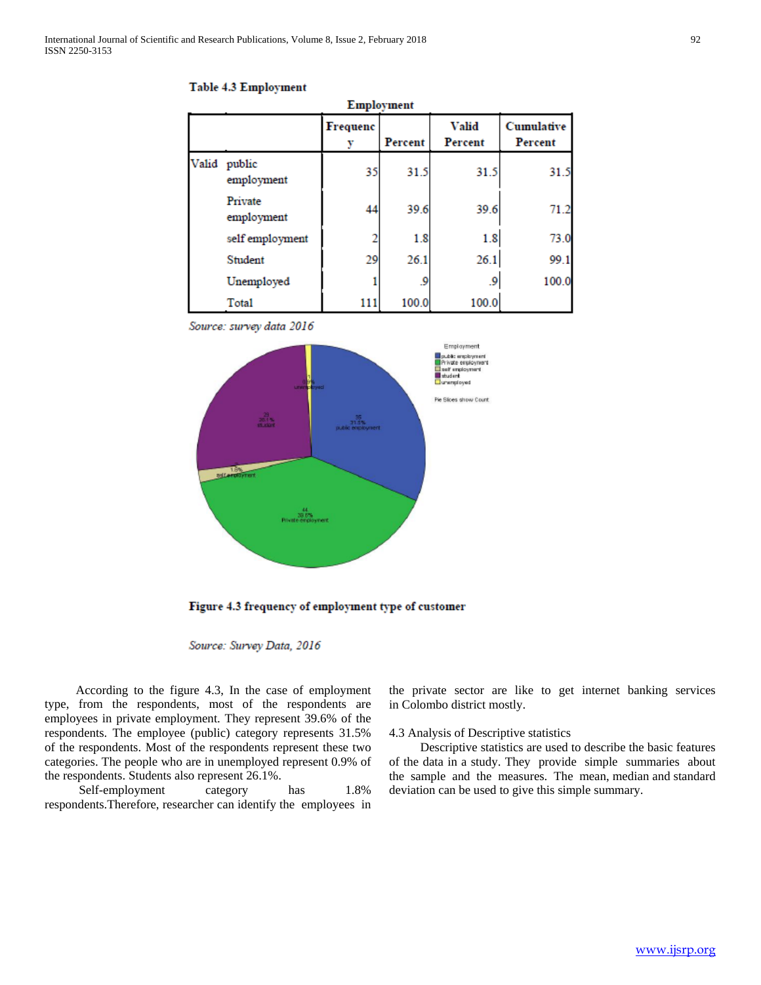|       | Employment            |          |         |                         |                       |  |  |
|-------|-----------------------|----------|---------|-------------------------|-----------------------|--|--|
|       |                       | Frequenc | Percent | <b>Valid</b><br>Percent | Cumulative<br>Percent |  |  |
| Valid | public<br>employment  | 35       | 31.5    | 31.5                    | 31.5                  |  |  |
|       | Private<br>employment | 44       | 39.6    | 39.6                    | 71.2                  |  |  |
|       | self employment       |          | 1.8     | 1.8                     | 73.0                  |  |  |
|       | Student               | 29       | 26.1    | 26.1                    | 99.1                  |  |  |
|       | Unemployed            |          | .9      | و.                      | 100.0                 |  |  |
|       | Total                 | 111      | 100.0   | 100.0                   |                       |  |  |

### Table 4.3 Employment

Source: survey data 2016



Figure 4.3 frequency of employment type of customer

Source: Survey Data, 2016

 According to the figure 4.3, In the case of employment type, from the respondents, most of the respondents are employees in private employment. They represent 39.6% of the respondents. The employee (public) category represents 31.5% of the respondents. Most of the respondents represent these two categories. The people who are in unemployed represent 0.9% of the respondents. Students also represent 26.1%.

Self-employment category has  $1.8\%$ respondents.Therefore, researcher can identify the employees in the private sector are like to get internet banking services in Colombo district mostly.

### 4.3 Analysis of Descriptive statistics

 Descriptive statistics are used to describe the basic features of the data in a study. They provide simple summaries about the sample and the measures. The mean, median and standard deviation can be used to give this simple summary.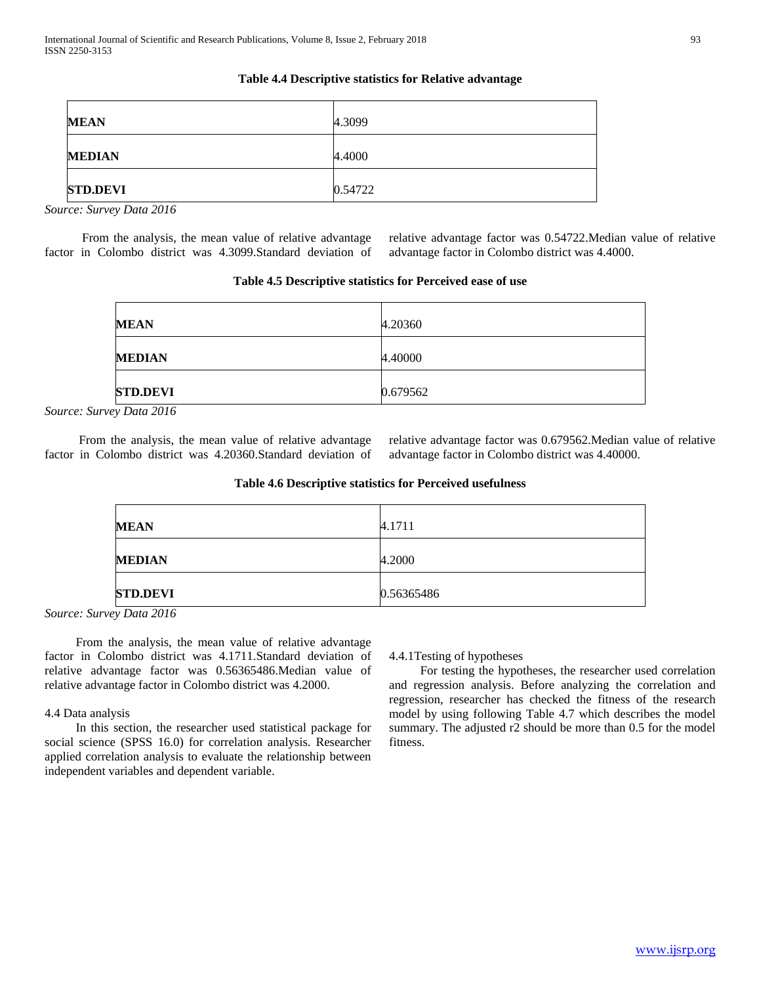### **Table 4.4 Descriptive statistics for Relative advantage**

| <b>MEAN</b>     | 4.3099  |
|-----------------|---------|
| <b>MEDIAN</b>   | 4.4000  |
| <b>STD.DEVI</b> | 0.54722 |

*Source: Survey Data 2016*

 From the analysis, the mean value of relative advantage factor in Colombo district was 4.3099.Standard deviation of relative advantage factor was 0.54722.Median value of relative advantage factor in Colombo district was 4.4000.

|  |  | Table 4.5 Descriptive statistics for Perceived ease of use |  |  |
|--|--|------------------------------------------------------------|--|--|
|--|--|------------------------------------------------------------|--|--|

| <b>MEAN</b>     | 4.20360  |
|-----------------|----------|
| <b>MEDIAN</b>   | 4.40000  |
| <b>STD.DEVI</b> | 0.679562 |

*Source: Survey Data 2016*

 From the analysis, the mean value of relative advantage factor in Colombo district was 4.20360.Standard deviation of relative advantage factor was 0.679562.Median value of relative advantage factor in Colombo district was 4.40000.

### **Table 4.6 Descriptive statistics for Perceived usefulness**

| <b>MEAN</b>     | 4.1711     |
|-----------------|------------|
| <b>MEDIAN</b>   | 4.2000     |
| <b>STD.DEVI</b> | 0.56365486 |

*Source: Survey Data 2016*

 From the analysis, the mean value of relative advantage factor in Colombo district was 4.1711.Standard deviation of relative advantage factor was 0.56365486.Median value of relative advantage factor in Colombo district was 4.2000.

### 4.4 Data analysis

 In this section, the researcher used statistical package for social science (SPSS 16.0) for correlation analysis. Researcher applied correlation analysis to evaluate the relationship between independent variables and dependent variable.

4.4.1Testing of hypotheses

 For testing the hypotheses, the researcher used correlation and regression analysis. Before analyzing the correlation and regression, researcher has checked the fitness of the research model by using following Table 4.7 which describes the model summary. The adjusted r2 should be more than 0.5 for the model fitness.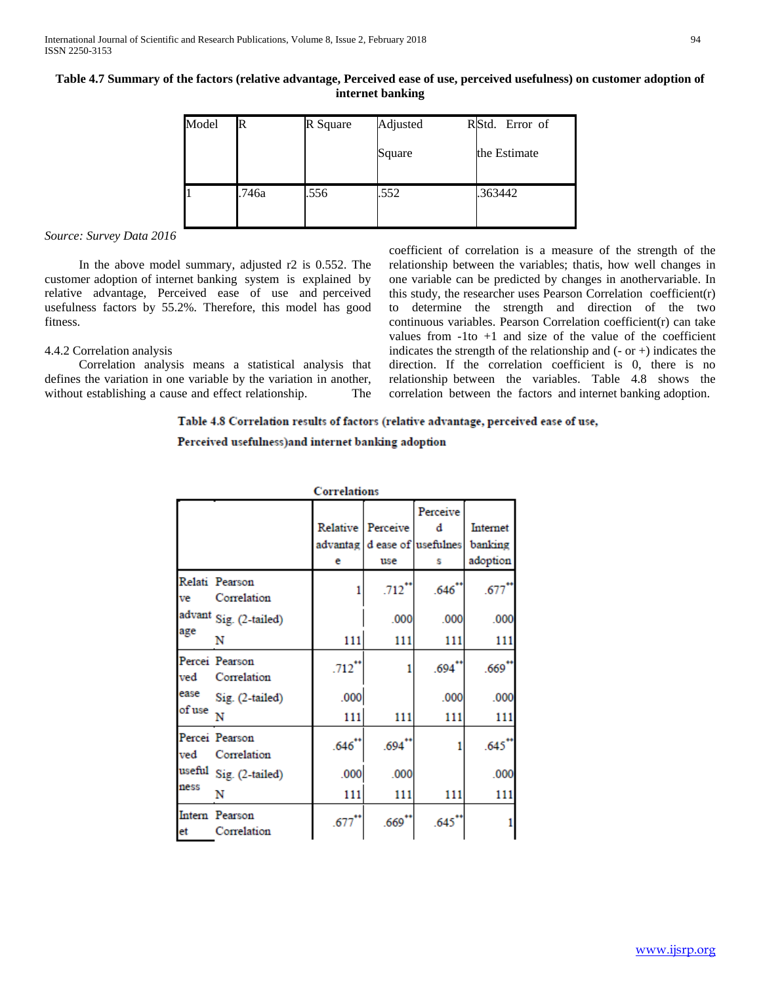**Table 4.7 Summary of the factors (relative advantage, Perceived ease of use, perceived usefulness) on customer adoption of internet banking**

| Model | R     | R Square | Adjusted | RStd. Error of |
|-------|-------|----------|----------|----------------|
|       |       |          | Square   | the Estimate   |
| 11    | .746a | .556     | .552     | .363442        |

### *Source: Survey Data 2016*

 In the above model summary, adjusted r2 is 0.552. The customer adoption of internet banking system is explained by relative advantage, Perceived ease of use and perceived usefulness factors by 55.2%. Therefore, this model has good fitness.

### 4.4.2 Correlation analysis

 Correlation analysis means a statistical analysis that defines the variation in one variable by the variation in another, without establishing a cause and effect relationship. The coefficient of correlation is a measure of the strength of the relationship between the variables; thatis, how well changes in one variable can be predicted by changes in anothervariable. In this study, the researcher uses Pearson Correlation coefficient(r) to determine the strength and direction of the two continuous variables. Pearson Correlation coefficient(r) can take values from  $-1$  to  $+1$  and size of the value of the coefficient indicates the strength of the relationship and  $(-$  or  $+)$  indicates the direction. If the correlation coefficient is 0, there is no relationship between the variables. Table 4.8 shows the correlation between the factors and internet banking adoption.

### Table 4.8 Correlation results of factors (relative advantage, perceived ease of use,

### Perceived usefulness) and internet banking adoption

|                       |                               | Correlations                |                      |                                           |                                 |
|-----------------------|-------------------------------|-----------------------------|----------------------|-------------------------------------------|---------------------------------|
|                       |                               | Relative  <br>advantag<br>е | Perceive<br>use      | Perceive<br>d<br>d ease of usefulnes<br>s | Internet<br>banking<br>adoption |
| ve                    | Relati Pearson<br>Correlation |                             | $.712$ <sup>*</sup>  | .646"                                     | .677                            |
|                       | advant Sig. (2-tailed)        |                             | .000                 | .000                                      | .000                            |
| age                   | N                             | 111                         | 111                  | 111                                       | 111                             |
| ved                   | Percei Pearson<br>Correlation | $.712$ <sup>**</sup>        |                      | $.694$ **                                 | $.669$ **                       |
| ease                  | Sig. (2-tailed)               | .000                        |                      | .000                                      | .000                            |
| of use $\overline{N}$ |                               | 111                         | 111                  | 111                                       | 111                             |
| ved                   | Percei Pearson<br>Correlation | .646"                       | $.694$ <sup>**</sup> |                                           | $.645$ <sup>**</sup>            |
| useful<br>ness        | Sig. (2-tailed)               | .000                        | .000                 |                                           | .000                            |
|                       | N                             | 111                         | 111                  | 111                                       | 111                             |
| et                    | Intern Pearson<br>Correlation | $.677$ **                   | $.669$ **            | $.645$ <sup>**</sup>                      |                                 |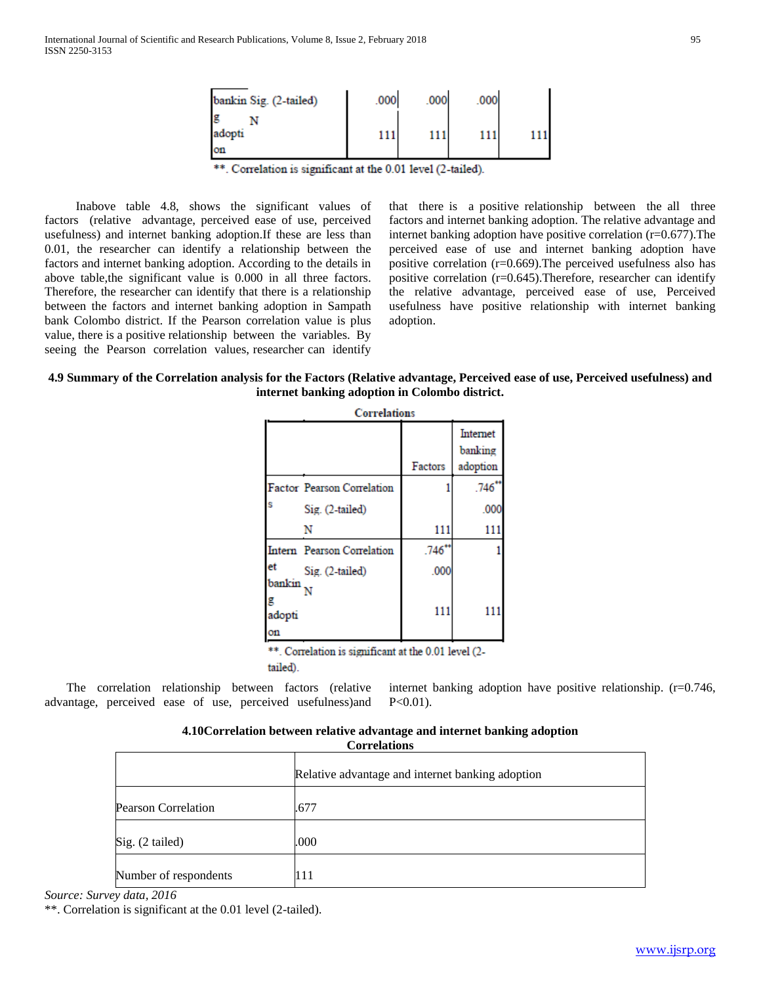| bankin Sig. (2-tailed) | .000 | .000 | .000 |  |
|------------------------|------|------|------|--|
| g<br>adopti            | 111  | 111  | 111  |  |
| <b>on</b>              |      |      |      |  |

\*\*. Correlation is significant at the 0.01 level (2-tailed).

 Inabove table 4.8, shows the significant values of factors (relative advantage, perceived ease of use, perceived usefulness) and internet banking adoption.If these are less than 0.01, the researcher can identify a relationship between the factors and internet banking adoption. According to the details in above table,the significant value is 0.000 in all three factors. Therefore, the researcher can identify that there is a relationship between the factors and internet banking adoption in Sampath bank Colombo district. If the Pearson correlation value is plus value, there is a positive relationship between the variables. By seeing the Pearson correlation values, researcher can identify

that there is a positive relationship between the all three factors and internet banking adoption. The relative advantage and internet banking adoption have positive correlation (r=0.677).The perceived ease of use and internet banking adoption have positive correlation (r=0.669).The perceived usefulness also has positive correlation (r=0.645).Therefore, researcher can identify the relative advantage, perceived ease of use, Perceived usefulness have positive relationship with internet banking adoption.

### **4.9 Summary of the Correlation analysis for the Factors (Relative advantage, Perceived ease of use, Perceived usefulness) and internet banking adoption in Colombo district.**

|                             | <b>Correlations</b>                                  |         |                                 |
|-----------------------------|------------------------------------------------------|---------|---------------------------------|
|                             |                                                      | Factors | Internet<br>banking<br>adoption |
|                             | Factor Pearson Correlation                           |         | $.746$ **                       |
|                             | Sig. (2-tailed)                                      |         | .000                            |
|                             | N                                                    | 111     | 111                             |
|                             | Intern Pearson Correlation                           | .746"   |                                 |
| et                          | Sig. (2-tailed)                                      | .000    |                                 |
| bankin<br>g<br>adopti<br>on |                                                      | 111     |                                 |
|                             | **. Correlation is significant at the 0.01 level (2- |         |                                 |

tailed).

 The correlation relationship between factors (relative advantage, perceived ease of use, perceived usefulness)and internet banking adoption have positive relationship. (r=0.746,  $P<0.01$ ).

### **4.10Correlation between relative advantage and internet banking adoption Correlations**

|                            | Relative advantage and internet banking adoption |
|----------------------------|--------------------------------------------------|
| <b>Pearson Correlation</b> | .677                                             |
| $\text{Sig.}$ (2 tailed)   | .000                                             |
| Number of respondents      | 111                                              |

*Source: Survey data, 2016*

\*\*. Correlation is significant at the 0.01 level (2-tailed).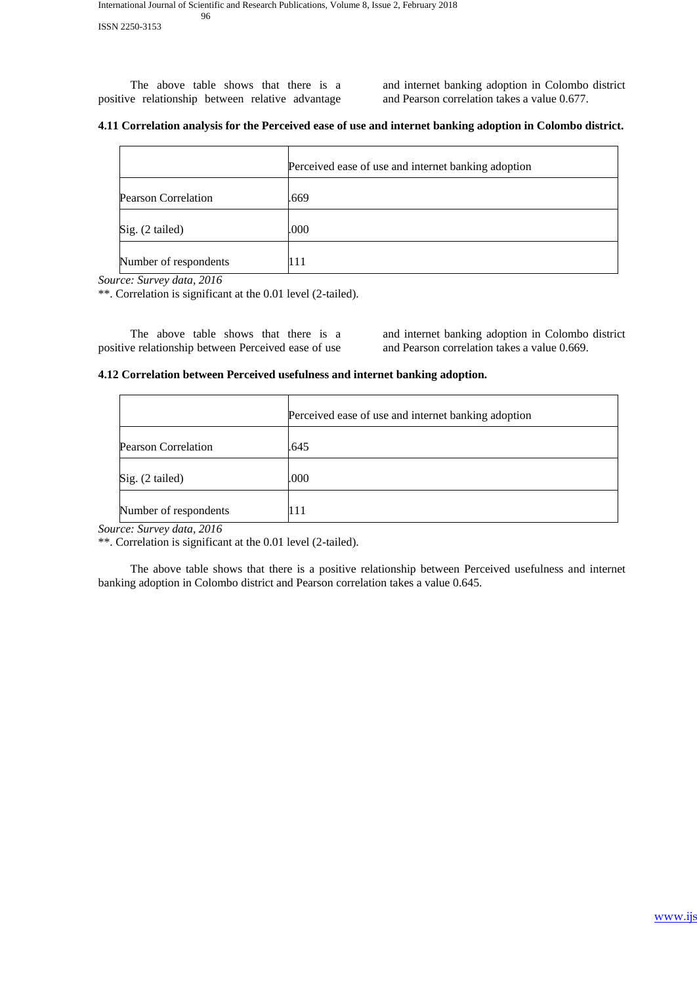The above table shows that there is a positive relationship between relative advantage

and internet banking adoption in Colombo district and Pearson correlation takes a value 0.677.

### **4.11 Correlation analysis for the Perceived ease of use and internet banking adoption in Colombo district.**

|                            | Perceived ease of use and internet banking adoption |
|----------------------------|-----------------------------------------------------|
| <b>Pearson Correlation</b> | .669                                                |
| $\text{Sig.}$ (2 tailed)   | .000                                                |
| Number of respondents      |                                                     |

*Source: Survey data, 2016*

\*\*. Correlation is significant at the 0.01 level (2-tailed).

 The above table shows that there is a positive relationship between Perceived ease of use

and internet banking adoption in Colombo district and Pearson correlation takes a value 0.669.

### **4.12 Correlation between Perceived usefulness and internet banking adoption.**

|                            | Perceived ease of use and internet banking adoption |
|----------------------------|-----------------------------------------------------|
| <b>Pearson Correlation</b> | .645                                                |
| Sig. (2 tailed)            | .000                                                |
| Number of respondents      | 111                                                 |

*Source: Survey data, 2016*

\*\*. Correlation is significant at the 0.01 level (2-tailed).

 The above table shows that there is a positive relationship between Perceived usefulness and internet banking adoption in Colombo district and Pearson correlation takes a value 0.645.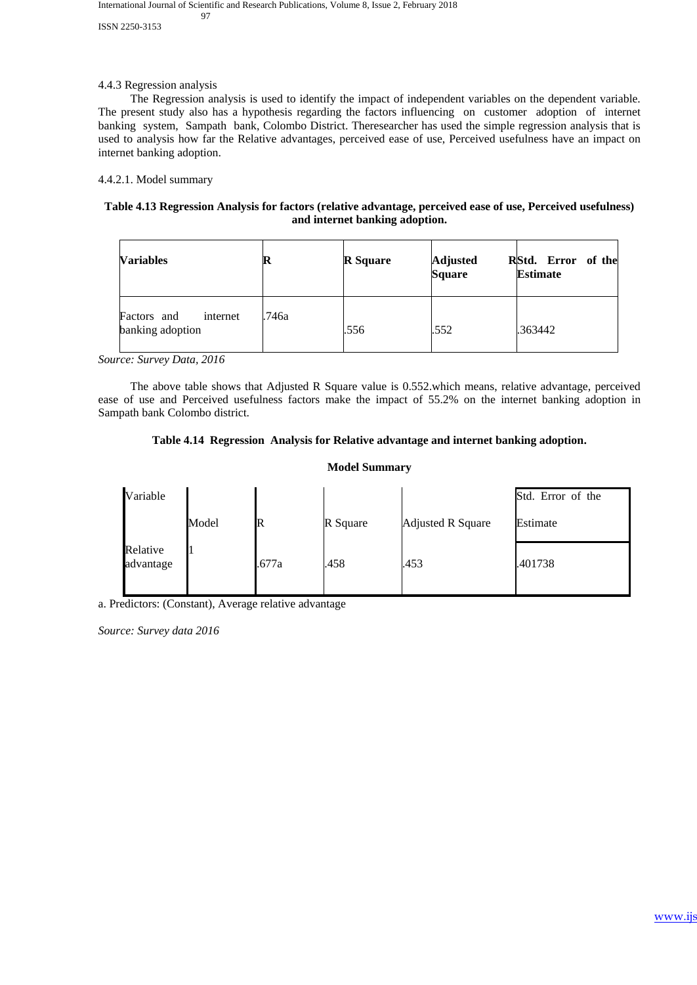### International Journal of Scientific and Research Publications, Volume 8, Issue 2, February 2018 97

ISSN 2250-3153

### 4.4.3 Regression analysis

 The Regression analysis is used to identify the impact of independent variables on the dependent variable. The present study also has a hypothesis regarding the factors influencing on customer adoption of internet banking system, Sampath bank, Colombo District. Theresearcher has used the simple regression analysis that is used to analysis how far the Relative advantages, perceived ease of use, Perceived usefulness have an impact on internet banking adoption.

### 4.4.2.1. Model summary

### **Table 4.13 Regression Analysis for factors (relative advantage, perceived ease of use, Perceived usefulness) and internet banking adoption.**

| <b>Variables</b>                            | R     | <b>R</b> Square | <b>Adjusted</b><br><b>Square</b> | RStd. Error of the<br><b>Estimate</b> |
|---------------------------------------------|-------|-----------------|----------------------------------|---------------------------------------|
| Factors and<br>internet<br>banking adoption | .746a | .556            | .552                             | .363442                               |

*Source: Survey Data, 2016*

 The above table shows that Adjusted R Square value is 0.552.which means, relative advantage, perceived ease of use and Perceived usefulness factors make the impact of 55.2% on the internet banking adoption in Sampath bank Colombo district.

### **Table 4.14 Regression Analysis for Relative advantage and internet banking adoption.**

### **Model Summary**

| Variable              |       |       |          |                          | Std. Error of the |
|-----------------------|-------|-------|----------|--------------------------|-------------------|
|                       | Model |       | R Square | <b>Adjusted R Square</b> | Estimate          |
| Relative<br>advantage | ш     | .677a | .458     | .453                     | .401738           |

a. Predictors: (Constant), Average relative advantage

*Source: Survey data 2016*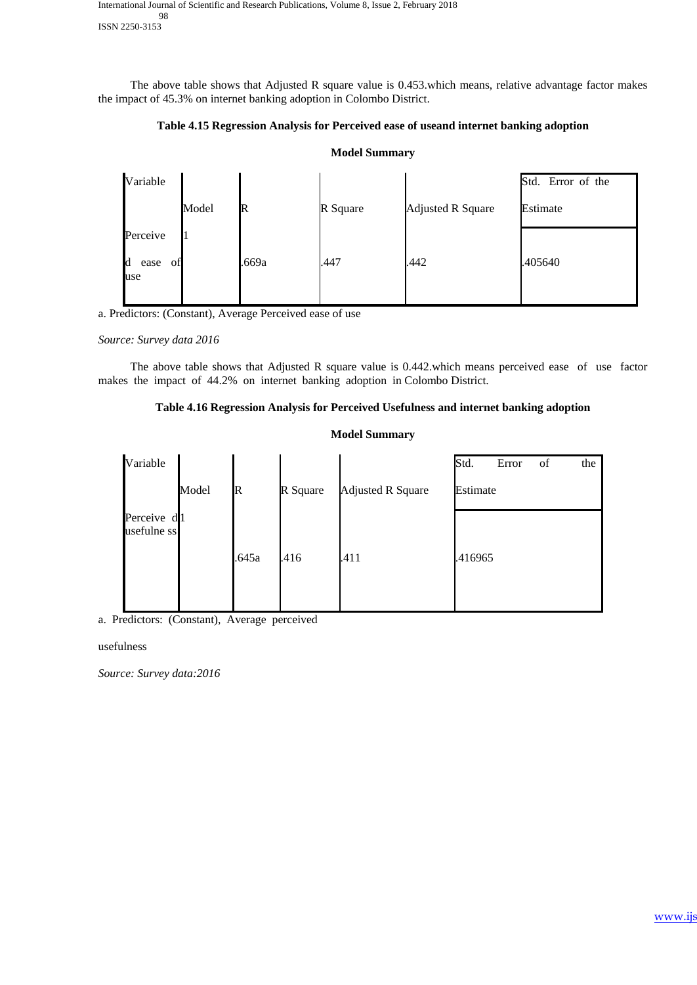International Journal of Scientific and Research Publications, Volume 8, Issue 2, February 2018 98 ISSN 2250-3153

 The above table shows that Adjusted R square value is 0.453.which means, relative advantage factor makes the impact of 45.3% on internet banking adoption in Colombo District.

### **Table 4.15 Regression Analysis for Perceived ease of useand internet banking adoption**

**Model Summary**

# Variable Model **R R** Square **Adjusted R** Square Std. Error of the Estimate Perceive d ease of use 1 .669a .447 .442 .405640

a. Predictors: (Constant), Average Perceived ease of use

### *Source: Survey data 2016*

 The above table shows that Adjusted R square value is 0.442.which means perceived ease of use factor makes the impact of 44.2% on internet banking adoption in Colombo District.

### **Table 4.16 Regression Analysis for Perceived Usefulness and internet banking adoption**

### **Model Summary**

| Variable                   |       |             |          |                          | Std.     | Error | of | the |
|----------------------------|-------|-------------|----------|--------------------------|----------|-------|----|-----|
|                            | Model | $\mathbb R$ | R Square | <b>Adjusted R Square</b> | Estimate |       |    |     |
| Perceive d1<br>usefulne ss |       | .645a       | .416     | .411                     | .416965  |       |    |     |

a. Predictors: (Constant), Average perceived

### usefulness

*Source: Survey data:2016*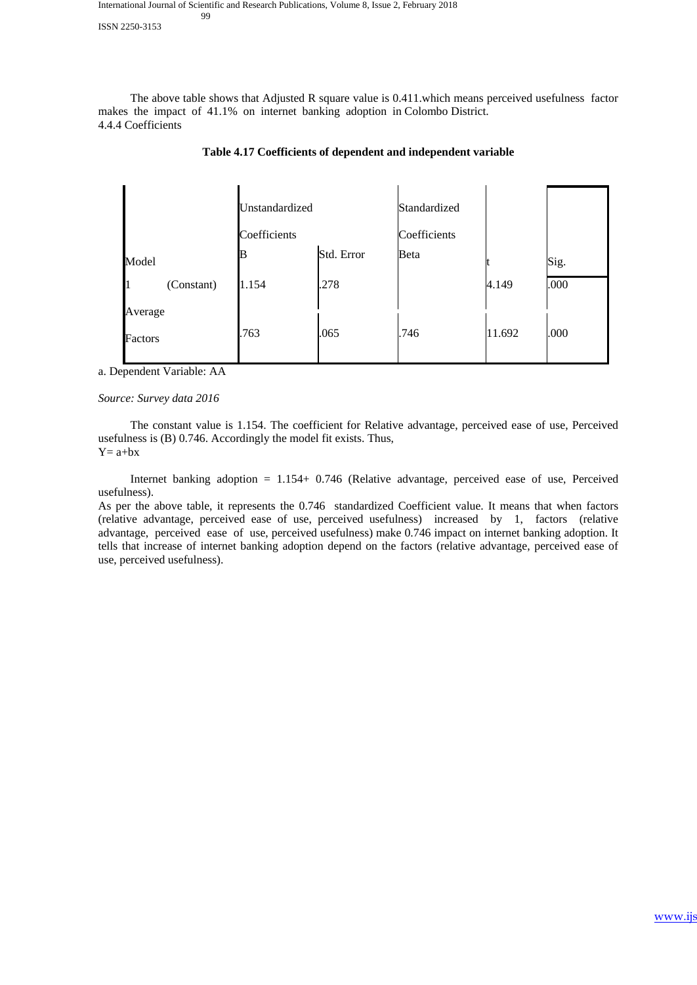ISSN 2250-3153

 The above table shows that Adjusted R square value is 0.411.which means perceived usefulness factor makes the impact of 41.1% on internet banking adoption in Colombo District. 4.4.4 Coefficients

|            | Unstandardized |            | Standardized |        |      |
|------------|----------------|------------|--------------|--------|------|
|            | Coefficients   |            | Coefficients |        |      |
| Model      | B              | Std. Error | Beta         |        | Sig. |
| (Constant) | 1.154          | .278       |              | 4.149  | .000 |
| Average    |                |            |              |        |      |
| Factors    | .763           | .065       | .746         | 11.692 | .000 |

### **Table 4.17 Coefficients of dependent and independent variable**

a. Dependent Variable: AA

### *Source: Survey data 2016*

 The constant value is 1.154. The coefficient for Relative advantage, perceived ease of use, Perceived usefulness is (B) 0.746. Accordingly the model fit exists. Thus,  $Y= a+bx$ 

 Internet banking adoption = 1.154+ 0.746 (Relative advantage, perceived ease of use, Perceived usefulness).

As per the above table, it represents the 0.746 standardized Coefficient value. It means that when factors (relative advantage, perceived ease of use, perceived usefulness) increased by 1, factors (relative advantage, perceived ease of use, perceived usefulness) make 0.746 impact on internet banking adoption. It tells that increase of internet banking adoption depend on the factors (relative advantage, perceived ease of use, perceived usefulness).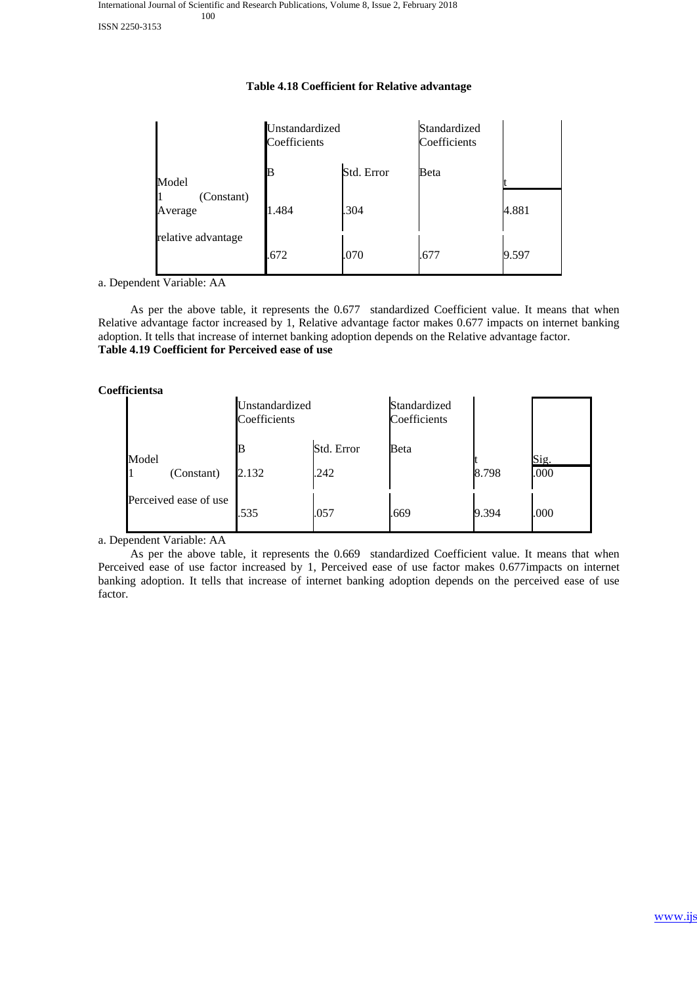### **Table 4.18 Coefficient for Relative advantage**

|                       | Unstandardized<br>Coefficients |            | Standardized<br>Coefficients |       |
|-----------------------|--------------------------------|------------|------------------------------|-------|
| Model                 | B                              | Std. Error | Beta                         |       |
| (Constant)<br>Average | 1.484                          | .304       |                              | 4.881 |
| relative advantage    | .672                           | .070       | .677                         | 9.597 |

a. Dependent Variable: AA

 As per the above table, it represents the 0.677 standardized Coefficient value. It means that when Relative advantage factor increased by 1, Relative advantage factor makes 0.677 impacts on internet banking adoption. It tells that increase of internet banking adoption depends on the Relative advantage factor. **Table 4.19 Coefficient for Perceived ease of use**

**Coefficientsa**

|       |                       | Unstandardized<br>Coefficients |            | Standardized<br>Coefficients |       |      |
|-------|-----------------------|--------------------------------|------------|------------------------------|-------|------|
| Model |                       | B                              | Std. Error | Beta                         |       | Sig. |
|       | (Constant)            | 2.132                          | .242       |                              | 8.798 | .000 |
|       | Perceived ease of use | .535                           | .057       | .669                         | 9.394 | .000 |

a. Dependent Variable: AA

 As per the above table, it represents the 0.669 standardized Coefficient value. It means that when Perceived ease of use factor increased by 1, Perceived ease of use factor makes 0.677impacts on internet banking adoption. It tells that increase of internet banking adoption depends on the perceived ease of use factor.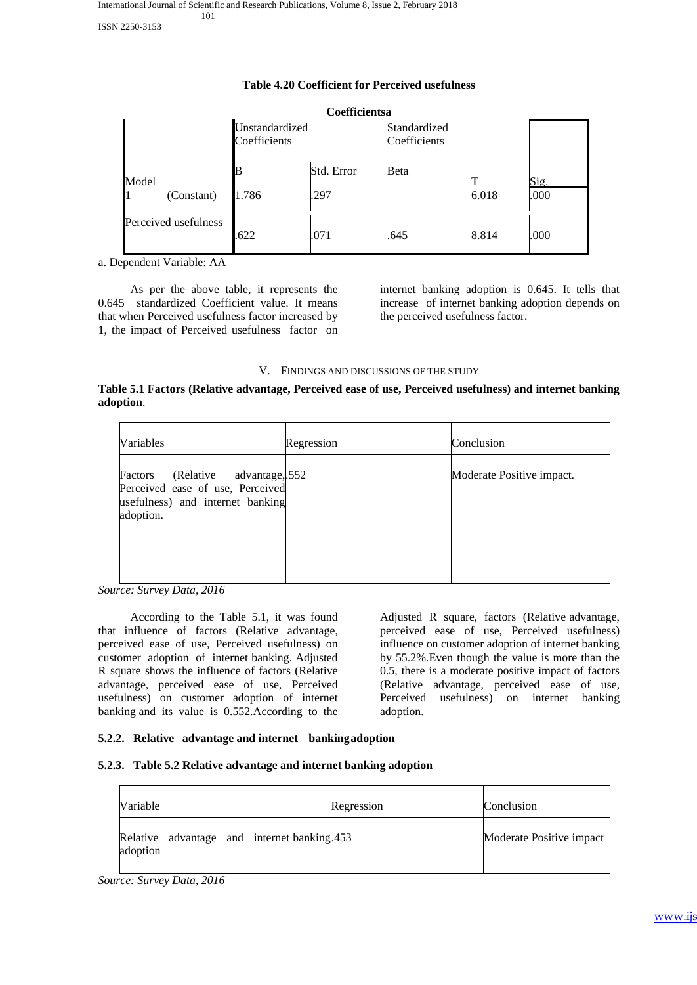|       |                                    |                                | Coefficientsa |                              |       |      |
|-------|------------------------------------|--------------------------------|---------------|------------------------------|-------|------|
|       |                                    | Unstandardized<br>Coefficients |               | Standardized<br>Coefficients |       |      |
| Model |                                    |                                | Std. Error    | Beta                         |       | Sig. |
|       | (Constant)<br>Perceived usefulness | 1.786                          | .297          |                              | 6.018 | .000 |
|       |                                    | .622                           | .071          | .645                         | 8.814 | .000 |

### **Table 4.20 Coefficient for Perceived usefulness**

a. Dependent Variable: AA

 As per the above table, it represents the 0.645 standardized Coefficient value. It means that when Perceived usefulness factor increased by 1, the impact of Perceived usefulness factor on internet banking adoption is 0.645. It tells that increase of internet banking adoption depends on the perceived usefulness factor.

### V. FINDINGS AND DISCUSSIONS OF THE STUDY

### **Table 5.1 Factors (Relative advantage, Perceived ease of use, Perceived usefulness) and internet banking adoption**.

| Variables                                                                                                                    | Regression | Conclusion                |
|------------------------------------------------------------------------------------------------------------------------------|------------|---------------------------|
| (Relative)<br>advantage, 552<br>Factors<br>Perceived ease of use, Perceived<br>usefulness) and internet banking<br>adoption. |            | Moderate Positive impact. |

*Source: Survey Data, 2016*

 According to the Table 5.1, it was found that influence of factors (Relative advantage, perceived ease of use, Perceived usefulness) on customer adoption of internet banking. Adjusted R square shows the influence of factors (Relative advantage, perceived ease of use, Perceived usefulness) on customer adoption of internet banking and its value is 0.552.According to the

Adjusted R square, factors (Relative advantage, perceived ease of use, Perceived usefulness) influence on customer adoption of internet banking by 55.2%.Even though the value is more than the 0.5, there is a moderate positive impact of factors (Relative advantage, perceived ease of use, Perceived usefulness) on internet banking adoption.

### **5.2.2. Relative advantage and internet bankingadoption**

### **5.2.3. Table 5.2 Relative advantage and internet banking adoption**

| Variable                                                | Regression | Conclusion               |
|---------------------------------------------------------|------------|--------------------------|
| Relative advantage and internet banking 453<br>adoption |            | Moderate Positive impact |

*Source: Survey Data, 2016*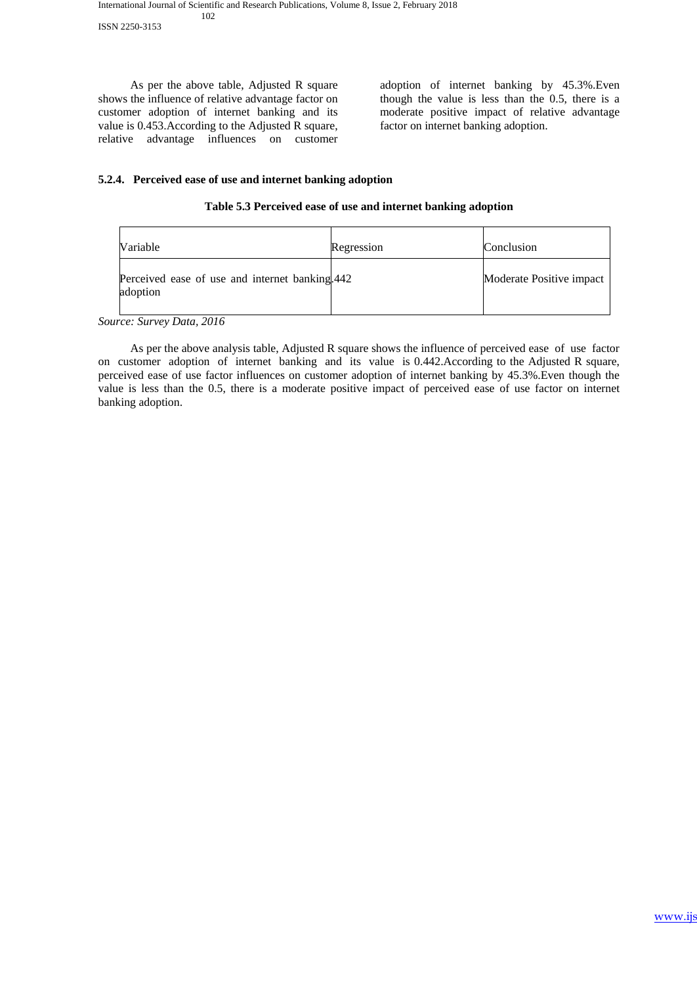ISSN 2250-3153

 As per the above table, Adjusted R square shows the influence of relative advantage factor on customer adoption of internet banking and its value is 0.453.According to the Adjusted R square, relative advantage influences on customer adoption of internet banking by 45.3%.Even though the value is less than the 0.5, there is a moderate positive impact of relative advantage factor on internet banking adoption.

## **5.2.4. Perceived ease of use and internet banking adoption**

### **Table 5.3 Perceived ease of use and internet banking adoption**

| <b>Variable</b>                                            | Regression | Conclusion               |
|------------------------------------------------------------|------------|--------------------------|
| Perceived ease of use and internet banking 442<br>adoption |            | Moderate Positive impact |

*Source: Survey Data, 2016*

 As per the above analysis table, Adjusted R square shows the influence of perceived ease of use factor on customer adoption of internet banking and its value is 0.442.According to the Adjusted R square, perceived ease of use factor influences on customer adoption of internet banking by 45.3%.Even though the value is less than the 0.5, there is a moderate positive impact of perceived ease of use factor on internet banking adoption.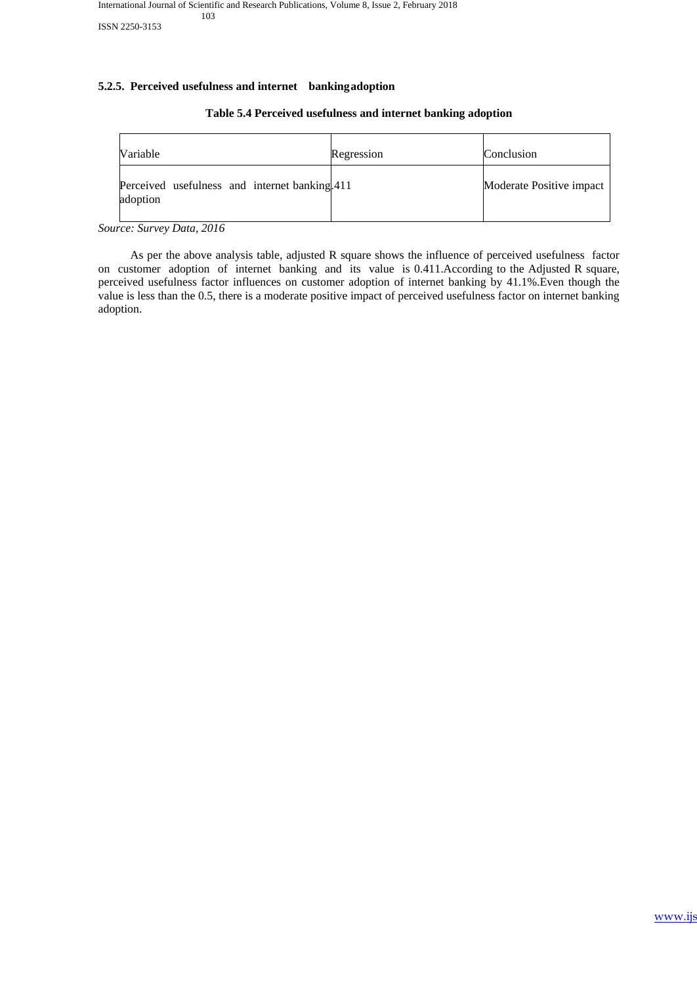### **5.2.5. Perceived usefulness and internet bankingadoption**

# Variable **Regression** Regression **Conclusion** Perceived usefulness and internet banking 411 adoption Moderate Positive impact

### **Table 5.4 Perceived usefulness and internet banking adoption**

*Source: Survey Data, 2016*

 As per the above analysis table, adjusted R square shows the influence of perceived usefulness factor on customer adoption of internet banking and its value is 0.411.According to the Adjusted R square, perceived usefulness factor influences on customer adoption of internet banking by 41.1%.Even though the value is less than the 0.5, there is a moderate positive impact of perceived usefulness factor on internet banking adoption.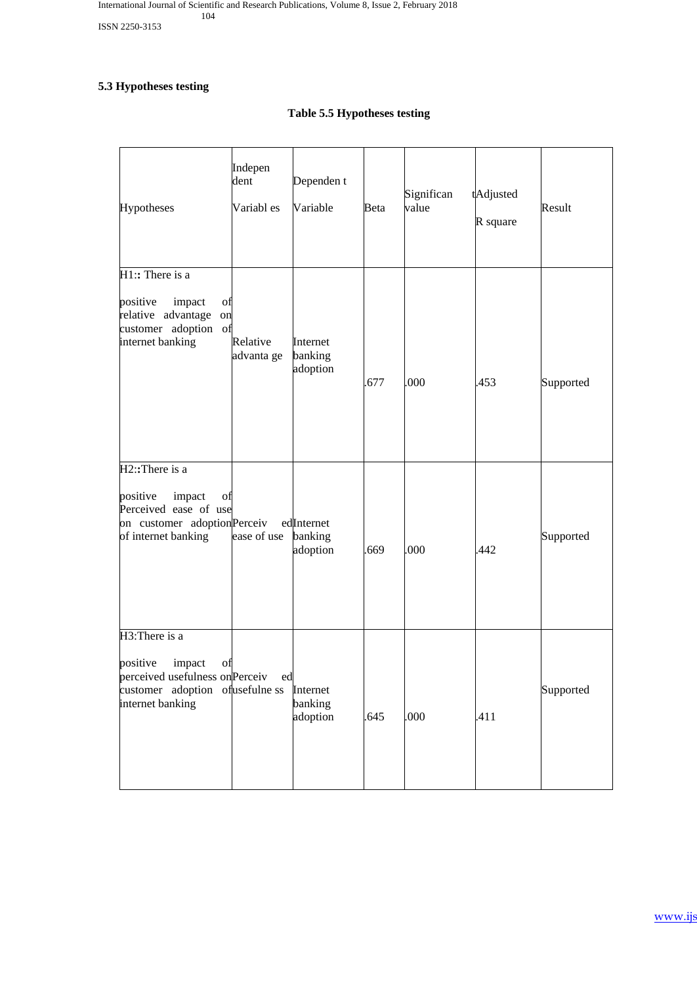# **5.3 Hypotheses testing**

# **Table 5.5 Hypotheses testing**

| Hypotheses                                                                                                                            | Indepen<br>dent<br>Variabl es | Dependen t<br>Variable            | Beta | Significan<br>value | tAdjusted<br>R square | Result    |
|---------------------------------------------------------------------------------------------------------------------------------------|-------------------------------|-----------------------------------|------|---------------------|-----------------------|-----------|
| $H1$ :: There is a<br>positive<br>impact<br>of<br>relative advantage<br>on<br>customer adoption<br>of<br>internet banking             | Relative<br>advanta ge        | Internet<br>banking<br>adoption   | .677 | .000                | .453                  | Supported |
| H2: There is a<br>positive<br>impact<br>of<br>Perceived ease of use<br>on customer adoptionPerceiv<br>of internet banking             | ease of use                   | edInternet<br>banking<br>adoption | .669 | .000                | .442                  | Supported |
| H3: There is a<br>positive<br>impact<br>of<br>perceived usefulness on Perceiv<br>customer adoption of usefulne ss<br>internet banking | ed                            | Internet<br>banking<br>adoption   | .645 | .000                | .411                  | Supported |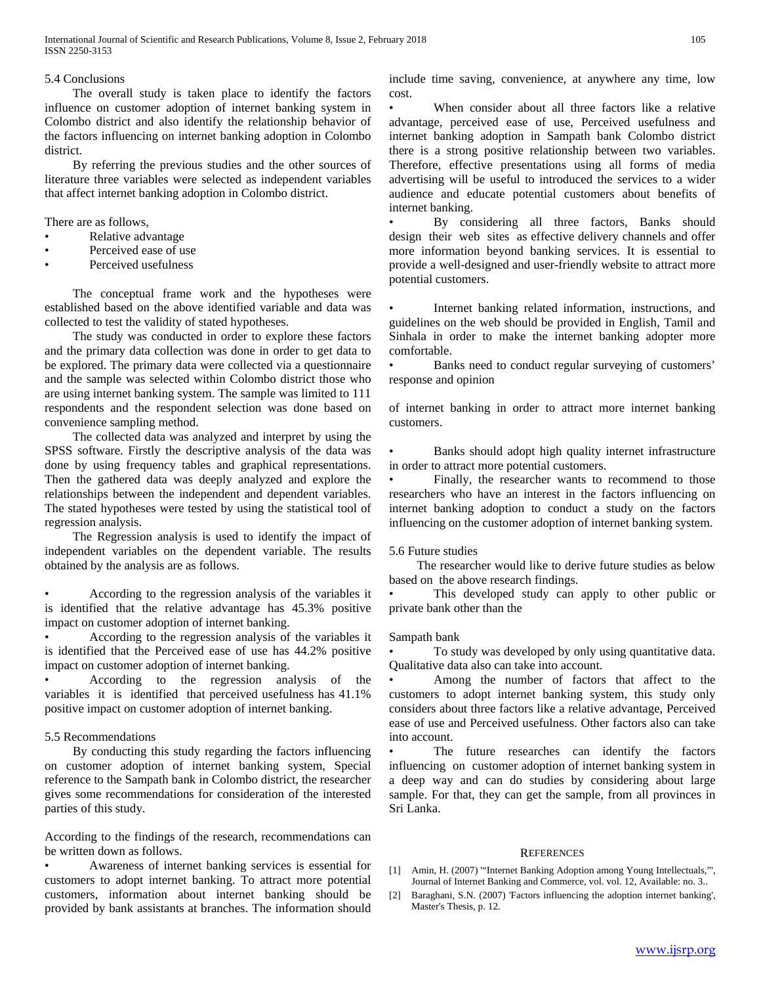### 5.4 Conclusions

 The overall study is taken place to identify the factors influence on customer adoption of internet banking system in Colombo district and also identify the relationship behavior of the factors influencing on internet banking adoption in Colombo district.

 By referring the previous studies and the other sources of literature three variables were selected as independent variables that affect internet banking adoption in Colombo district.

There are as follows,

- Relative advantage
- Perceived ease of use
- Perceived usefulness

 The conceptual frame work and the hypotheses were established based on the above identified variable and data was collected to test the validity of stated hypotheses.

 The study was conducted in order to explore these factors and the primary data collection was done in order to get data to be explored. The primary data were collected via a questionnaire and the sample was selected within Colombo district those who are using internet banking system. The sample was limited to 111 respondents and the respondent selection was done based on convenience sampling method.

 The collected data was analyzed and interpret by using the SPSS software. Firstly the descriptive analysis of the data was done by using frequency tables and graphical representations. Then the gathered data was deeply analyzed and explore the relationships between the independent and dependent variables. The stated hypotheses were tested by using the statistical tool of regression analysis.

 The Regression analysis is used to identify the impact of independent variables on the dependent variable. The results obtained by the analysis are as follows.

• According to the regression analysis of the variables it is identified that the relative advantage has 45.3% positive impact on customer adoption of internet banking.

• According to the regression analysis of the variables it is identified that the Perceived ease of use has 44.2% positive impact on customer adoption of internet banking.

• According to the regression analysis of the variables it is identified that perceived usefulness has 41.1% positive impact on customer adoption of internet banking.

### 5.5 Recommendations

 By conducting this study regarding the factors influencing on customer adoption of internet banking system, Special reference to the Sampath bank in Colombo district, the researcher gives some recommendations for consideration of the interested parties of this study.

According to the findings of the research, recommendations can be written down as follows.

• Awareness of internet banking services is essential for customers to adopt internet banking. To attract more potential customers, information about internet banking should be provided by bank assistants at branches. The information should include time saving, convenience, at anywhere any time, low cost.

When consider about all three factors like a relative advantage, perceived ease of use, Perceived usefulness and internet banking adoption in Sampath bank Colombo district there is a strong positive relationship between two variables. Therefore, effective presentations using all forms of media advertising will be useful to introduced the services to a wider audience and educate potential customers about benefits of internet banking.

By considering all three factors, Banks should design their web sites as effective delivery channels and offer more information beyond banking services. It is essential to provide a well-designed and user-friendly website to attract more potential customers.

Internet banking related information, instructions, and guidelines on the web should be provided in English, Tamil and Sinhala in order to make the internet banking adopter more comfortable.

Banks need to conduct regular surveying of customers' response and opinion

of internet banking in order to attract more internet banking customers.

Banks should adopt high quality internet infrastructure in order to attract more potential customers.

Finally, the researcher wants to recommend to those researchers who have an interest in the factors influencing on internet banking adoption to conduct a study on the factors influencing on the customer adoption of internet banking system.

### 5.6 Future studies

 The researcher would like to derive future studies as below based on the above research findings.

This developed study can apply to other public or private bank other than the

### Sampath bank

• To study was developed by only using quantitative data. Qualitative data also can take into account.

Among the number of factors that affect to the customers to adopt internet banking system, this study only considers about three factors like a relative advantage, Perceived ease of use and Perceived usefulness. Other factors also can take into account.

The future researches can identify the factors influencing on customer adoption of internet banking system in a deep way and can do studies by considering about large sample. For that, they can get the sample, from all provinces in Sri Lanka.

### **REFERENCES**

- [1] Amin, H. (2007) '"Internet Banking Adoption among Young Intellectuals,"', Journal of Internet Banking and Commerce, vol. vol. 12, Available: no. 3..
- [2] Baraghani, S.N. (2007) 'Factors influencing the adoption internet banking', Master's Thesis, p. 12.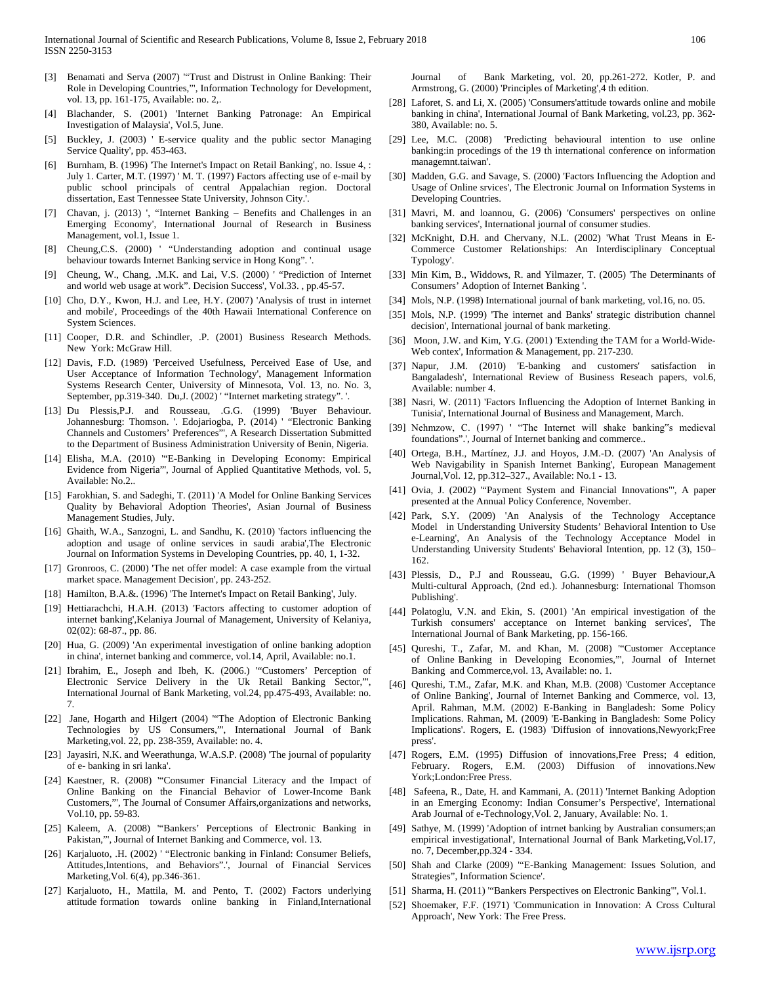- [3] Benamati and Serva (2007) '"Trust and Distrust in Online Banking: Their Role in Developing Countries,"', Information Technology for Development, vol. 13, pp. 161-175, Available: no. 2,.
- [4] Blachander, S. (2001) 'Internet Banking Patronage: An Empirical Investigation of Malaysia', Vol.5, June.
- Buckley, J. (2003) ' E-service quality and the public sector Managing Service Quality', pp. 453-463.
- [6] Burnham, B. (1996) 'The Internet's Impact on Retail Banking', no. Issue 4, : July 1. Carter, M.T. (1997) ' M. T. (1997) Factors affecting use of e-mail by public school principals of central Appalachian region. Doctoral dissertation, East Tennessee State University, Johnson City.'.
- [7] Chavan, j. (2013) ', "Internet Banking Benefits and Challenges in an Emerging Economy', International Journal of Research in Business Management, vol.1, Issue 1.
- [8] Cheung,C.S. (2000) ' "Understanding adoption and continual usage behaviour towards Internet Banking service in Hong Kong". '.
- [9] Cheung, W., Chang, .M.K. and Lai, V.S. (2000) ' "Prediction of Internet and world web usage at work". Decision Success', Vol.33. , pp.45-57.
- [10] Cho, D.Y., Kwon, H.J. and Lee, H.Y. (2007) 'Analysis of trust in internet and mobile', Proceedings of the 40th Hawaii International Conference on System Sciences.
- [11] Cooper, D.R. and Schindler, .P. (2001) Business Research Methods. New York: McGraw Hill.
- [12] Davis, F.D. (1989) 'Perceived Usefulness, Perceived Ease of Use, and User Acceptance of Information Technology', Management Information Systems Research Center, University of Minnesota, Vol. 13, no. No. 3, September, pp.319-340. Du,J. (2002) ' "Internet marketing strategy". '.
- [13] Du Plessis,P.J. and Rousseau, .G.G. (1999) 'Buyer Behaviour. Johannesburg: Thomson. '. Edojariogba, P. (2014) ' "Electronic Banking Channels and Customers' Preferences"', A Research Dissertation Submitted to the Department of Business Administration University of Benin, Nigeria.
- [14] Elisha, M.A. (2010) '"E-Banking in Developing Economy: Empirical Evidence from Nigeria"', Journal of Applied Quantitative Methods, vol. 5, Available: No.2..
- [15] Farokhian, S. and Sadeghi, T. (2011) 'A Model for Online Banking Services Quality by Behavioral Adoption Theories', Asian Journal of Business Management Studies, July.
- [16] Ghaith, W.A., Sanzogni, L. and Sandhu, K. (2010) 'factors influencing the adoption and usage of online services in saudi arabia',The Electronic Journal on Information Systems in Developing Countries, pp. 40, 1, 1-32.
- [17] Gronroos, C. (2000) 'The net offer model: A case example from the virtual market space. Management Decision', pp. 243-252.
- [18] Hamilton, B.A.&. (1996) 'The Internet's Impact on Retail Banking', July.
- [19] Hettiarachchi, H.A.H. (2013) 'Factors affecting to customer adoption of internet banking',Kelaniya Journal of Management, University of Kelaniya, 02(02): 68-87., pp. 86.
- [20] Hua, G. (2009) 'An experimental investigation of online banking adoption in china', internet banking and commerce, vol.14, April, Available: no.1.
- [21] Ibrahim, E., Joseph and Ibeh, K. (2006.) "Customers' Perception of Electronic Service Delivery in the Uk Retail Banking Sector,"', International Journal of Bank Marketing, vol.24, pp.475-493, Available: no. 7.
- [22] Jane, Hogarth and Hilgert (2004) '"The Adoption of Electronic Banking Technologies by US Consumers,"', International Journal of Bank Marketing,vol. 22, pp. 238-359, Available: no. 4.
- [23] Jayasiri, N.K. and Weerathunga, W.A.S.P. (2008) 'The journal of popularity of e- banking in sri lanka'.
- [24] Kaestner, R. (2008) '"Consumer Financial Literacy and the Impact of Online Banking on the Financial Behavior of Lower-Income Bank Customers,"', The Journal of Consumer Affairs,organizations and networks, Vol.10, pp. 59-83.
- [25] Kaleem, A. (2008) '"Bankers' Perceptions of Electronic Banking in Pakistan,"', Journal of Internet Banking and Commerce, vol. 13.
- [26] Karjaluoto, .H. (2002) ' "Electronic banking in Finland: Consumer Beliefs, Attitudes,Intentions, and Behaviors".', Journal of Financial Services Marketing,Vol. 6(4), pp.346-361.
- [27] Karjaluoto, H., Mattila, M. and Pento, T. (2002) Factors underlying attitude formation towards online banking in Finland,International

Journal of Bank Marketing, vol. 20, pp.261-272. Kotler, P. and Armstrong, G. (2000) 'Principles of Marketing',4 th edition.

- [28] Laforet, S. and Li, X. (2005) 'Consumers'attitude towards online and mobile banking in china', International Journal of Bank Marketing, vol.23, pp. 362- 380, Available: no. 5.
- [29] Lee, M.C. (2008) 'Predicting behavioural intention to use online banking:in procedings of the 19 th international conference on information managemnt.taiwan'.
- [30] Madden, G.G. and Savage, S. (2000) 'Factors Influencing the Adoption and Usage of Online srvices', The Electronic Journal on Information Systems in Developing Countries.
- [31] Mavri, M. and loannou, G. (2006) 'Consumers' perspectives on online banking services', International journal of consumer studies.
- [32] McKnight, D.H. and Chervany, N.L. (2002) 'What Trust Means in E-Commerce Customer Relationships: An Interdisciplinary Conceptual Typology'.
- [33] Min Kim, B., Widdows, R. and Yilmazer, T. (2005) 'The Determinants of Consumers' Adoption of Internet Banking '.
- [34] Mols, N.P. (1998) International journal of bank marketing, vol.16, no. 05.
- [35] Mols, N.P. (1999) 'The internet and Banks' strategic distribution channel decision', International journal of bank marketing.
- [36] Moon, J.W. and Kim, Y.G. (2001) 'Extending the TAM for a World-Wide-Web contex', Information & Management, pp. 217-230.
- [37] Napur, J.M. (2010) 'E-banking and customers' satisfaction in Bangaladesh', International Review of Business Reseach papers, vol.6, Available: number 4.
- [38] Nasri, W. (2011) 'Factors Influencing the Adoption of Internet Banking in Tunisia', International Journal of Business and Management, March.
- [39] Nehmzow, C. (1997) ' "The Internet will shake banking"s medieval foundations".', Journal of Internet banking and commerce..
- [40] Ortega, B.H., Martínez, J.J. and Hoyos, J.M.-D. (2007) 'An Analysis of Web Navigability in Spanish Internet Banking', European Management Journal,Vol. 12, pp.312–327., Available: No.1 - 13.
- [41] Ovia, J. (2002) "Payment System and Financial Innovations"', A paper presented at the Annual Policy Conference, November.
- [42] Park, S.Y. (2009) 'An Analysis of the Technology Acceptance Model in Understanding University Students' Behavioral Intention to Use e-Learning', An Analysis of the Technology Acceptance Model in Understanding University Students' Behavioral Intention, pp. 12 (3), 150– 162.
- [43] Plessis, D., P.J and Rousseau, G.G. (1999) ' Buyer Behaviour, A Multi-cultural Approach, (2nd ed.). Johannesburg: International Thomson Publishing'.
- [44] Polatoglu, V.N. and Ekin, S. (2001) 'An empirical investigation of the Turkish consumers' acceptance on Internet banking services', The International Journal of Bank Marketing, pp. 156-166.
- [45] Qureshi, T., Zafar, M. and Khan, M. (2008) '"Customer Acceptance of Online Banking in Developing Economies,"', Journal of Internet Banking and Commerce,vol. 13, Available: no. 1.
- [46] Qureshi, T.M., Zafar, M.K. and Khan, M.B. (2008) 'Customer Acceptance of Online Banking', Journal of Internet Banking and Commerce, vol. 13, April. Rahman, M.M. (2002) E-Banking in Bangladesh: Some Policy Implications. Rahman, M. (2009) 'E-Banking in Bangladesh: Some Policy Implications'. Rogers, E. (1983) 'Diffusion of innovations,Newyork;Free press'.
- [47] Rogers, E.M. (1995) Diffusion of innovations, Free Press; 4 edition, February. Rogers, E.M. (2003) Diffusion of innovations.New York;London:Free Press.
- [48] Safeena, R., Date, H. and Kammani, A. (2011) 'Internet Banking Adoption in an Emerging Economy: Indian Consumer's Perspective', International Arab Journal of e-Technology,Vol. 2, January, Available: No. 1.
- [49] Sathye, M. (1999) 'Adoption of intrnet banking by Australian consumers;an empirical investigational', International Journal of Bank Marketing,Vol.17, no. 7, December,pp.324 - 334.
- [50] Shah and Clarke (2009) '"E-Banking Management: Issues Solution, and Strategies", Information Science'.
- [51] Sharma, H. (2011) '"Bankers Perspectives on Electronic Banking"', Vol.1.
- [52] Shoemaker, F.F. (1971) 'Communication in Innovation: A Cross Cultural Approach', New York: The Free Press.